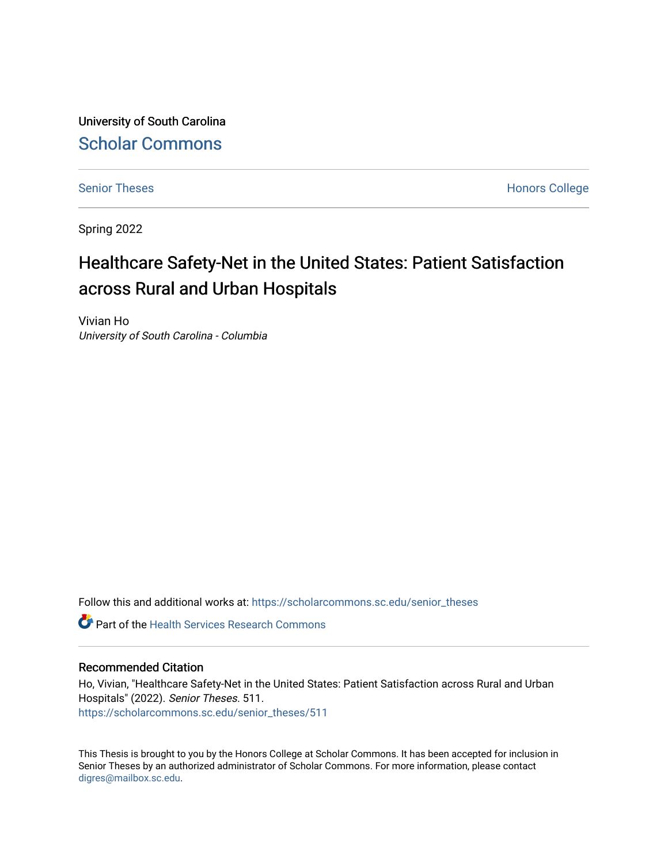University of South Carolina [Scholar Commons](https://scholarcommons.sc.edu/) 

[Senior Theses](https://scholarcommons.sc.edu/senior_theses) **Honors College** Honors College

Spring 2022

# Healthcare Safety-Net in the United States: Patient Satisfaction across Rural and Urban Hospitals

Vivian Ho University of South Carolina - Columbia

Follow this and additional works at: [https://scholarcommons.sc.edu/senior\\_theses](https://scholarcommons.sc.edu/senior_theses?utm_source=scholarcommons.sc.edu%2Fsenior_theses%2F511&utm_medium=PDF&utm_campaign=PDFCoverPages) 

**Part of the Health Services Research Commons** 

## Recommended Citation

Ho, Vivian, "Healthcare Safety-Net in the United States: Patient Satisfaction across Rural and Urban Hospitals" (2022). Senior Theses. 511. [https://scholarcommons.sc.edu/senior\\_theses/511](https://scholarcommons.sc.edu/senior_theses/511?utm_source=scholarcommons.sc.edu%2Fsenior_theses%2F511&utm_medium=PDF&utm_campaign=PDFCoverPages) 

This Thesis is brought to you by the Honors College at Scholar Commons. It has been accepted for inclusion in Senior Theses by an authorized administrator of Scholar Commons. For more information, please contact [digres@mailbox.sc.edu](mailto:digres@mailbox.sc.edu).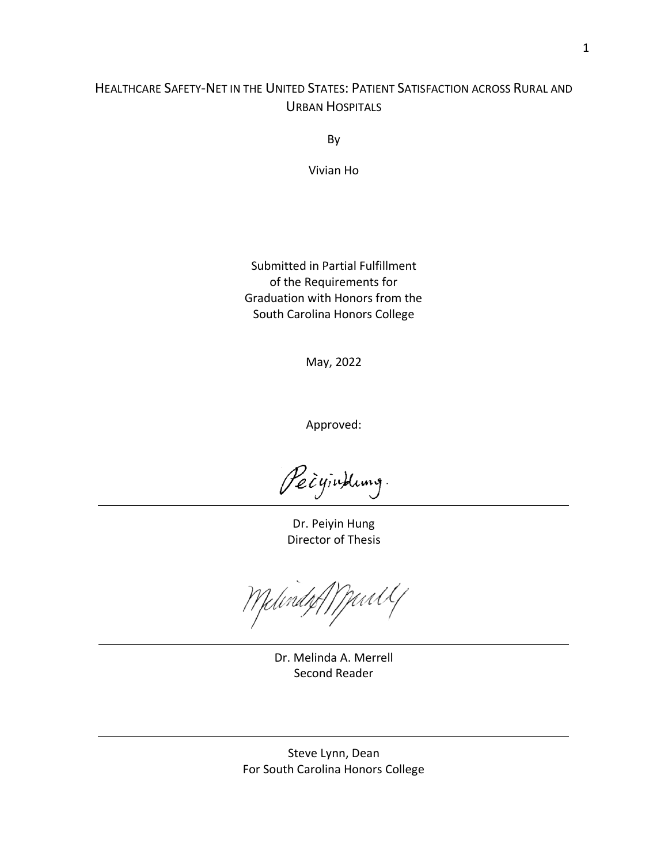## HEALTHCARE SAFETY-NET IN THE UNITED STATES: PATIENT SATISFACTION ACROSS RURAL AND URBAN HOSPITALS

By

Vivian Ho

Submitted in Partial Fulfillment of the Requirements for Graduation with Honors from the South Carolina Honors College

May, 2022

Approved:

Peignkung.

Dr. Peiyin Hung Director of Thesis

Yelindze//Wintl

Dr. Melinda A. Merrell Second Reader

Steve Lynn, Dean For South Carolina Honors College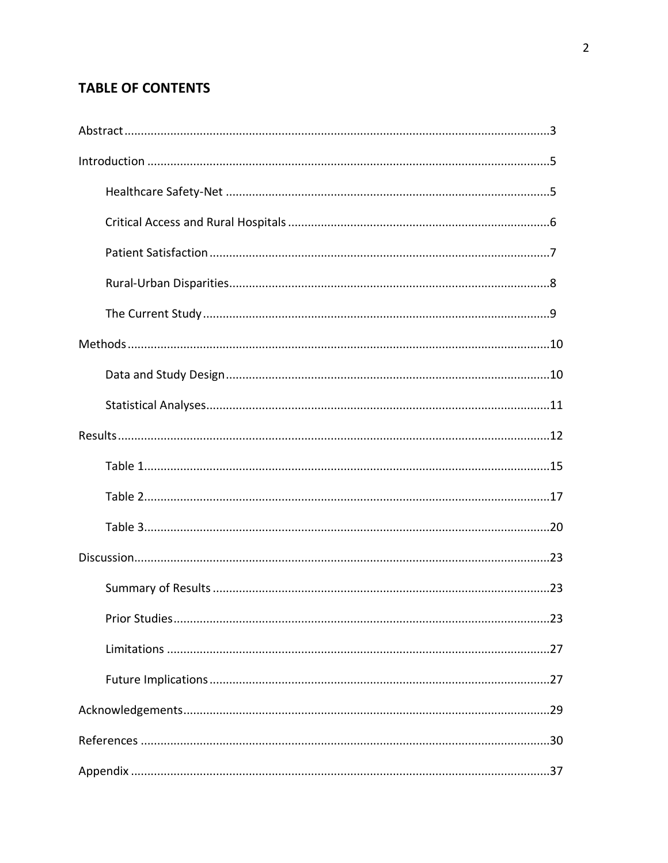## **TABLE OF CONTENTS**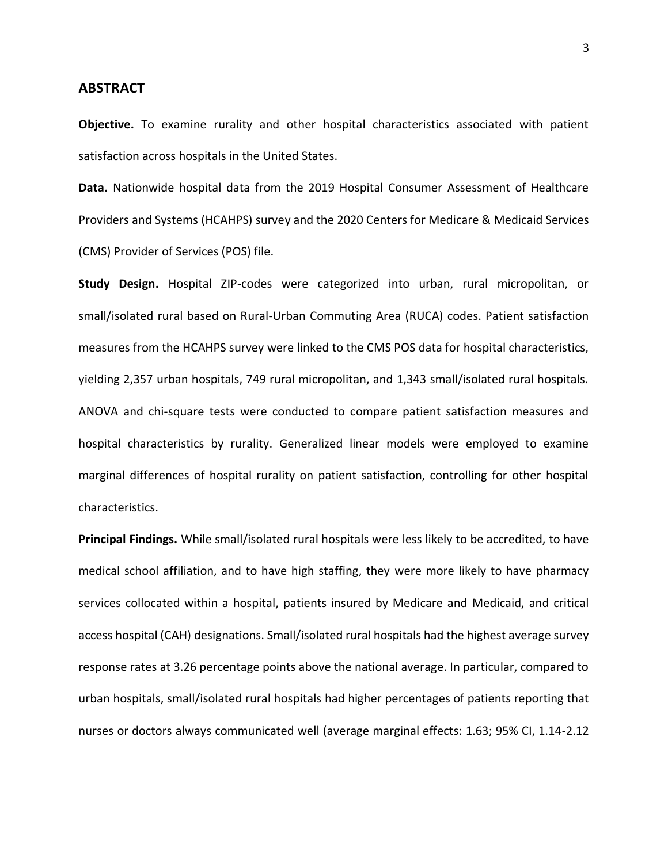## **ABSTRACT**

**Objective.** To examine rurality and other hospital characteristics associated with patient satisfaction across hospitals in the United States.

**Data.** Nationwide hospital data from the 2019 Hospital Consumer Assessment of Healthcare Providers and Systems (HCAHPS) survey and the 2020 Centers for Medicare & Medicaid Services (CMS) Provider of Services (POS) file.

**Study Design.** Hospital ZIP-codes were categorized into urban, rural micropolitan, or small/isolated rural based on Rural-Urban Commuting Area (RUCA) codes. Patient satisfaction measures from the HCAHPS survey were linked to the CMS POS data for hospital characteristics, yielding 2,357 urban hospitals, 749 rural micropolitan, and 1,343 small/isolated rural hospitals. ANOVA and chi-square tests were conducted to compare patient satisfaction measures and hospital characteristics by rurality. Generalized linear models were employed to examine marginal differences of hospital rurality on patient satisfaction, controlling for other hospital characteristics.

**Principal Findings.** While small/isolated rural hospitals were less likely to be accredited, to have medical school affiliation, and to have high staffing, they were more likely to have pharmacy services collocated within a hospital, patients insured by Medicare and Medicaid, and critical access hospital (CAH) designations. Small/isolated rural hospitals had the highest average survey response rates at 3.26 percentage points above the national average. In particular, compared to urban hospitals, small/isolated rural hospitals had higher percentages of patients reporting that nurses or doctors always communicated well (average marginal effects: 1.63; 95% CI, 1.14-2.12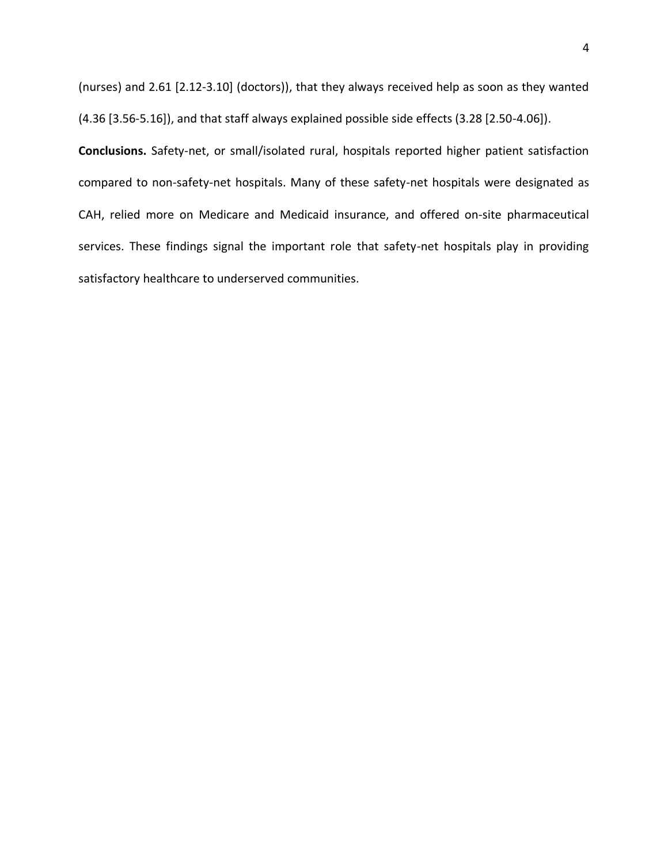(nurses) and 2.61 [2.12-3.10] (doctors)), that they always received help as soon as they wanted (4.36 [3.56-5.16]), and that staff always explained possible side effects (3.28 [2.50-4.06]).

**Conclusions.** Safety-net, or small/isolated rural, hospitals reported higher patient satisfaction compared to non-safety-net hospitals. Many of these safety-net hospitals were designated as CAH, relied more on Medicare and Medicaid insurance, and offered on-site pharmaceutical services. These findings signal the important role that safety-net hospitals play in providing satisfactory healthcare to underserved communities.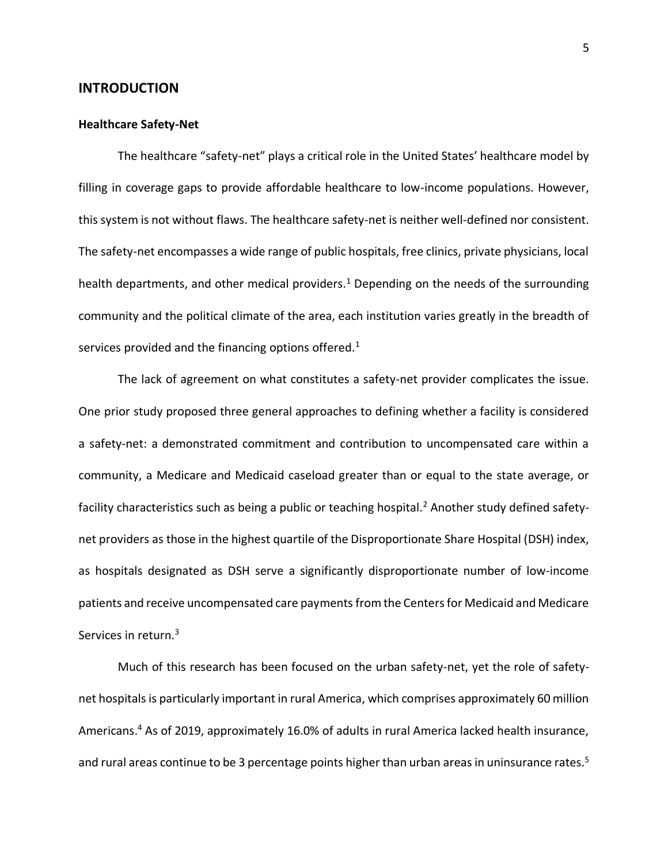## **INTRODUCTION**

### **Healthcare Safety-Net**

The healthcare "safety-net" plays a critical role in the United States' healthcare model by filling in coverage gaps to provide affordable healthcare to low-income populations. However, this system is not without flaws. The healthcare safety-net is neither well-defined nor consistent. The safety-net encompasses a wide range of public hospitals, free clinics, private physicians, local health departments, and other medical providers.<sup>1</sup> Depending on the needs of the surrounding community and the political climate of the area, each institution varies greatly in the breadth of services provided and the financing options offered.<sup>1</sup>

The lack of agreement on what constitutes a safety-net provider complicates the issue. One prior study proposed three general approaches to defining whether a facility is considered a safety-net: a demonstrated commitment and contribution to uncompensated care within a community, a Medicare and Medicaid caseload greater than or equal to the state average, or facility characteristics such as being a public or teaching hospital.<sup>2</sup> Another study defined safetynet providers as those in the highest quartile of the Disproportionate Share Hospital (DSH) index, as hospitals designated as DSH serve a significantly disproportionate number of low-income patients and receive uncompensated care payments from the Centers for Medicaid and Medicare Services in return.<sup>3</sup>

Much of this research has been focused on the urban safety-net, yet the role of safetynet hospitals is particularly important in rural America, which comprises approximately 60 million Americans.<sup>4</sup> As of 2019, approximately 16.0% of adults in rural America lacked health insurance, and rural areas continue to be 3 percentage points higher than urban areas in uninsurance rates.<sup>5</sup>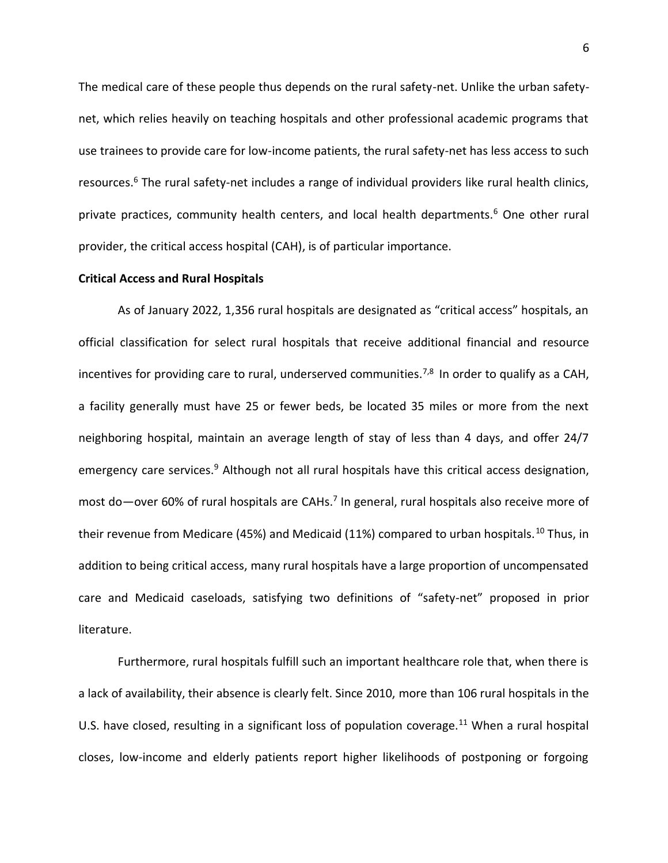The medical care of these people thus depends on the rural safety-net. Unlike the urban safetynet, which relies heavily on teaching hospitals and other professional academic programs that use trainees to provide care for low-income patients, the rural safety-net has less access to such resources.<sup>6</sup> The rural safety-net includes a range of individual providers like rural health clinics, private practices, community health centers, and local health departments.<sup>6</sup> One other rural provider, the critical access hospital (CAH), is of particular importance.

### **Critical Access and Rural Hospitals**

As of January 2022, 1,356 rural hospitals are designated as "critical access" hospitals, an official classification for select rural hospitals that receive additional financial and resource incentives for providing care to rural, underserved communities.<sup>7,8</sup> In order to qualify as a CAH, a facility generally must have 25 or fewer beds, be located 35 miles or more from the next neighboring hospital, maintain an average length of stay of less than 4 days, and offer 24/7 emergency care services.<sup>9</sup> Although not all rural hospitals have this critical access designation, most do—over 60% of rural hospitals are CAHs.<sup>7</sup> In general, rural hospitals also receive more of their revenue from Medicare (45%) and Medicaid (11%) compared to urban hospitals.<sup>10</sup> Thus, in addition to being critical access, many rural hospitals have a large proportion of uncompensated care and Medicaid caseloads, satisfying two definitions of "safety-net" proposed in prior literature.

Furthermore, rural hospitals fulfill such an important healthcare role that, when there is a lack of availability, their absence is clearly felt. Since 2010, more than 106 rural hospitals in the U.S. have closed, resulting in a significant loss of population coverage.<sup>11</sup> When a rural hospital closes, low-income and elderly patients report higher likelihoods of postponing or forgoing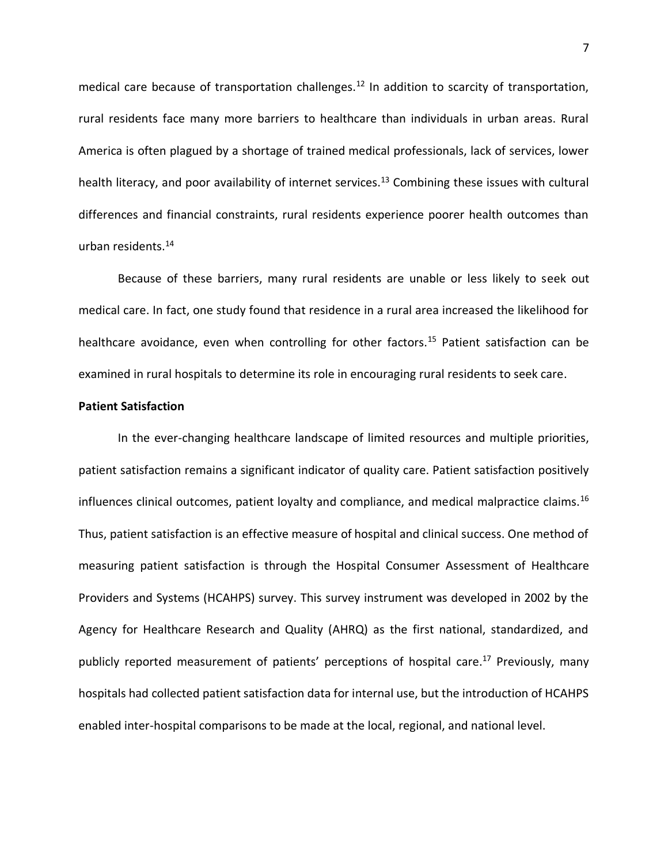medical care because of transportation challenges.<sup>12</sup> In addition to scarcity of transportation, rural residents face many more barriers to healthcare than individuals in urban areas. Rural America is often plagued by a shortage of trained medical professionals, lack of services, lower health literacy, and poor availability of internet services.<sup>13</sup> Combining these issues with cultural differences and financial constraints, rural residents experience poorer health outcomes than urban residents.<sup>14</sup>

Because of these barriers, many rural residents are unable or less likely to seek out medical care. In fact, one study found that residence in a rural area increased the likelihood for healthcare avoidance, even when controlling for other factors.<sup>15</sup> Patient satisfaction can be examined in rural hospitals to determine its role in encouraging rural residents to seek care.

## **Patient Satisfaction**

In the ever-changing healthcare landscape of limited resources and multiple priorities, patient satisfaction remains a significant indicator of quality care. Patient satisfaction positively influences clinical outcomes, patient loyalty and compliance, and medical malpractice claims.<sup>16</sup> Thus, patient satisfaction is an effective measure of hospital and clinical success. One method of measuring patient satisfaction is through the Hospital Consumer Assessment of Healthcare Providers and Systems (HCAHPS) survey. This survey instrument was developed in 2002 by the Agency for Healthcare Research and Quality (AHRQ) as the first national, standardized, and publicly reported measurement of patients' perceptions of hospital care.<sup>17</sup> Previously, many hospitals had collected patient satisfaction data for internal use, but the introduction of HCAHPS enabled inter-hospital comparisons to be made at the local, regional, and national level.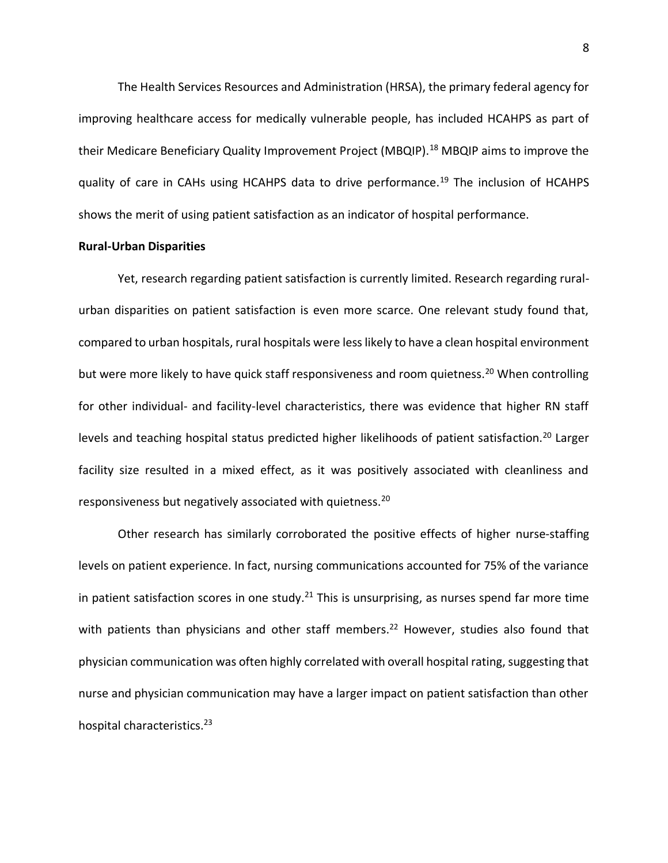The Health Services Resources and Administration (HRSA), the primary federal agency for improving healthcare access for medically vulnerable people, has included HCAHPS as part of their Medicare Beneficiary Quality Improvement Project (MBQIP).<sup>18</sup> MBQIP aims to improve the quality of care in CAHs using HCAHPS data to drive performance.<sup>19</sup> The inclusion of HCAHPS shows the merit of using patient satisfaction as an indicator of hospital performance.

## **Rural-Urban Disparities**

Yet, research regarding patient satisfaction is currently limited. Research regarding ruralurban disparities on patient satisfaction is even more scarce. One relevant study found that, compared to urban hospitals, rural hospitals were less likely to have a clean hospital environment but were more likely to have quick staff responsiveness and room quietness.<sup>20</sup> When controlling for other individual- and facility-level characteristics, there was evidence that higher RN staff levels and teaching hospital status predicted higher likelihoods of patient satisfaction.<sup>20</sup> Larger facility size resulted in a mixed effect, as it was positively associated with cleanliness and responsiveness but negatively associated with quietness.<sup>20</sup>

Other research has similarly corroborated the positive effects of higher nurse-staffing levels on patient experience. In fact, nursing communications accounted for 75% of the variance in patient satisfaction scores in one study.<sup>21</sup> This is unsurprising, as nurses spend far more time with patients than physicians and other staff members.<sup>22</sup> However, studies also found that physician communication was often highly correlated with overall hospital rating, suggesting that nurse and physician communication may have a larger impact on patient satisfaction than other hospital characteristics.<sup>23</sup>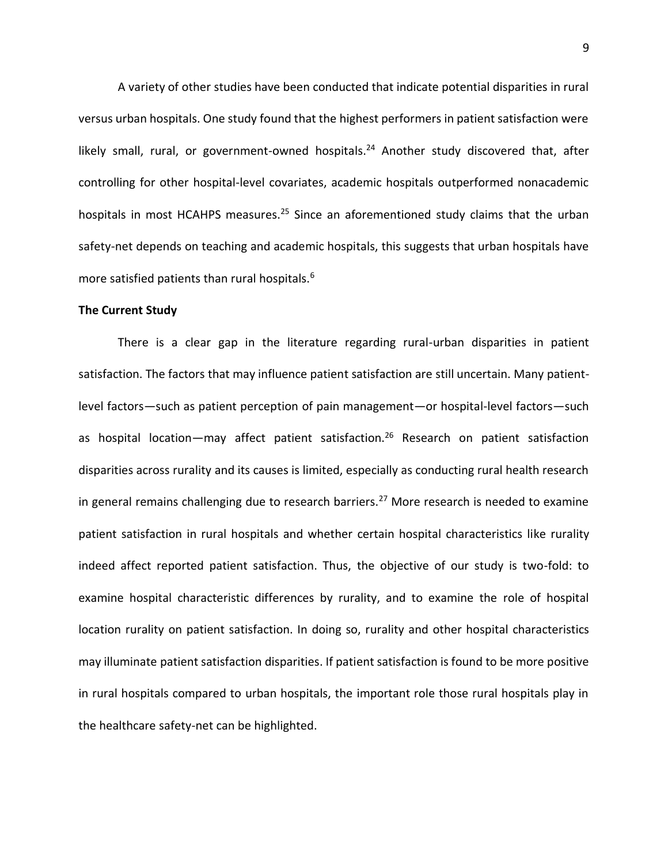A variety of other studies have been conducted that indicate potential disparities in rural versus urban hospitals. One study found that the highest performers in patient satisfaction were likely small, rural, or government-owned hospitals.<sup>24</sup> Another study discovered that, after controlling for other hospital-level covariates, academic hospitals outperformed nonacademic hospitals in most HCAHPS measures.<sup>25</sup> Since an aforementioned study claims that the urban safety-net depends on teaching and academic hospitals, this suggests that urban hospitals have more satisfied patients than rural hospitals.<sup>6</sup>

### **The Current Study**

There is a clear gap in the literature regarding rural-urban disparities in patient satisfaction. The factors that may influence patient satisfaction are still uncertain. Many patientlevel factors—such as patient perception of pain management—or hospital-level factors—such as hospital location—may affect patient satisfaction.<sup>26</sup> Research on patient satisfaction disparities across rurality and its causes is limited, especially as conducting rural health research in general remains challenging due to research barriers.<sup>27</sup> More research is needed to examine patient satisfaction in rural hospitals and whether certain hospital characteristics like rurality indeed affect reported patient satisfaction. Thus, the objective of our study is two-fold: to examine hospital characteristic differences by rurality, and to examine the role of hospital location rurality on patient satisfaction. In doing so, rurality and other hospital characteristics may illuminate patient satisfaction disparities. If patient satisfaction is found to be more positive in rural hospitals compared to urban hospitals, the important role those rural hospitals play in the healthcare safety-net can be highlighted.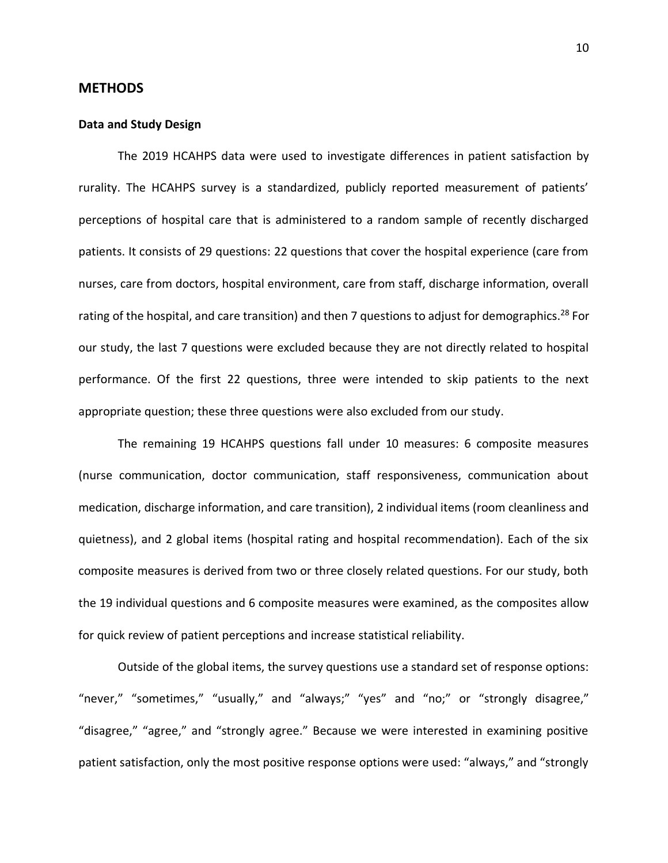## **METHODS**

### **Data and Study Design**

The 2019 HCAHPS data were used to investigate differences in patient satisfaction by rurality. The HCAHPS survey is a standardized, publicly reported measurement of patients' perceptions of hospital care that is administered to a random sample of recently discharged patients. It consists of 29 questions: 22 questions that cover the hospital experience (care from nurses, care from doctors, hospital environment, care from staff, discharge information, overall rating of the hospital, and care transition) and then 7 questions to adjust for demographics.<sup>28</sup> For our study, the last 7 questions were excluded because they are not directly related to hospital performance. Of the first 22 questions, three were intended to skip patients to the next appropriate question; these three questions were also excluded from our study.

The remaining 19 HCAHPS questions fall under 10 measures: 6 composite measures (nurse communication, doctor communication, staff responsiveness, communication about medication, discharge information, and care transition), 2 individual items (room cleanliness and quietness), and 2 global items (hospital rating and hospital recommendation). Each of the six composite measures is derived from two or three closely related questions. For our study, both the 19 individual questions and 6 composite measures were examined, as the composites allow for quick review of patient perceptions and increase statistical reliability.

Outside of the global items, the survey questions use a standard set of response options: "never," "sometimes," "usually," and "always;" "yes" and "no;" or "strongly disagree," "disagree," "agree," and "strongly agree." Because we were interested in examining positive patient satisfaction, only the most positive response options were used: "always," and "strongly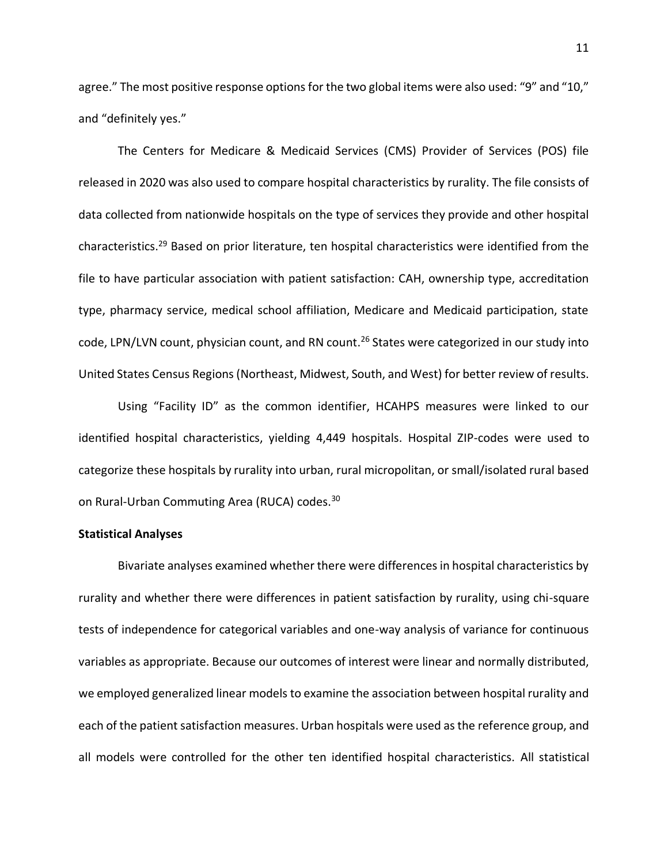agree." The most positive response options for the two global items were also used: "9" and "10," and "definitely yes."

The Centers for Medicare & Medicaid Services (CMS) Provider of Services (POS) file released in 2020 was also used to compare hospital characteristics by rurality. The file consists of data collected from nationwide hospitals on the type of services they provide and other hospital characteristics.<sup>29</sup> Based on prior literature, ten hospital characteristics were identified from the file to have particular association with patient satisfaction: CAH, ownership type, accreditation type, pharmacy service, medical school affiliation, Medicare and Medicaid participation, state code, LPN/LVN count, physician count, and RN count.<sup>26</sup> States were categorized in our study into United States Census Regions (Northeast, Midwest, South, and West) for better review of results.

Using "Facility ID" as the common identifier, HCAHPS measures were linked to our identified hospital characteristics, yielding 4,449 hospitals. Hospital ZIP-codes were used to categorize these hospitals by rurality into urban, rural micropolitan, or small/isolated rural based on Rural-Urban Commuting Area (RUCA) codes.<sup>30</sup>

## **Statistical Analyses**

Bivariate analyses examined whether there were differences in hospital characteristics by rurality and whether there were differences in patient satisfaction by rurality, using chi-square tests of independence for categorical variables and one-way analysis of variance for continuous variables as appropriate. Because our outcomes of interest were linear and normally distributed, we employed generalized linear models to examine the association between hospital rurality and each of the patient satisfaction measures. Urban hospitals were used as the reference group, and all models were controlled for the other ten identified hospital characteristics. All statistical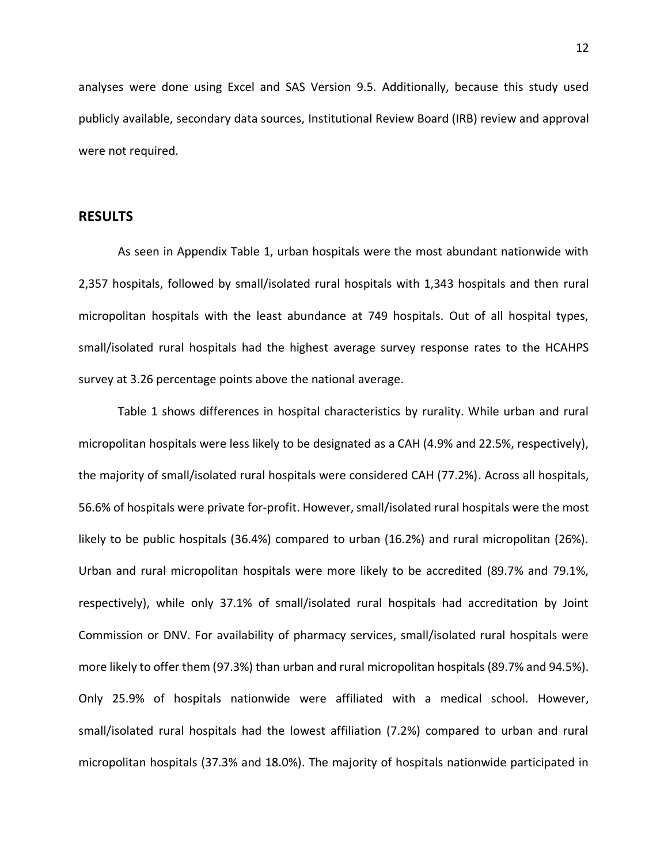analyses were done using Excel and SAS Version 9.5. Additionally, because this study used publicly available, secondary data sources, Institutional Review Board (IRB) review and approval were not required.

## **RESULTS**

As seen in Appendix Table 1, urban hospitals were the most abundant nationwide with 2,357 hospitals, followed by small/isolated rural hospitals with 1,343 hospitals and then rural micropolitan hospitals with the least abundance at 749 hospitals. Out of all hospital types, small/isolated rural hospitals had the highest average survey response rates to the HCAHPS survey at 3.26 percentage points above the national average.

Table 1 shows differences in hospital characteristics by rurality. While urban and rural micropolitan hospitals were less likely to be designated as a CAH (4.9% and 22.5%, respectively), the majority of small/isolated rural hospitals were considered CAH (77.2%). Across all hospitals, 56.6% of hospitals were private for-profit. However, small/isolated rural hospitals were the most likely to be public hospitals (36.4%) compared to urban (16.2%) and rural micropolitan (26%). Urban and rural micropolitan hospitals were more likely to be accredited (89.7% and 79.1%, respectively), while only 37.1% of small/isolated rural hospitals had accreditation by Joint Commission or DNV. For availability of pharmacy services, small/isolated rural hospitals were more likely to offer them (97.3%) than urban and rural micropolitan hospitals (89.7% and 94.5%). Only 25.9% of hospitals nationwide were affiliated with a medical school. However, small/isolated rural hospitals had the lowest affiliation (7.2%) compared to urban and rural micropolitan hospitals (37.3% and 18.0%). The majority of hospitals nationwide participated in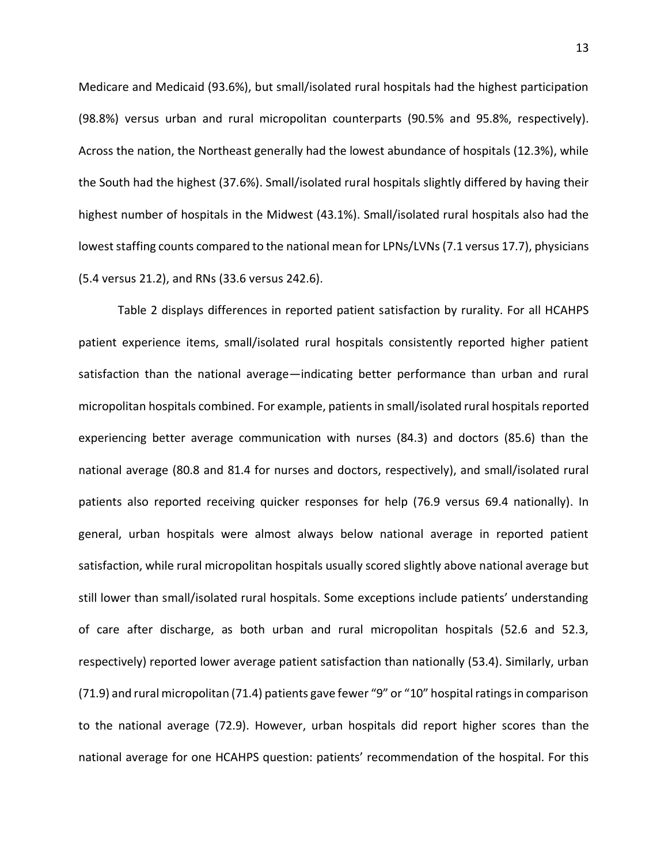Medicare and Medicaid (93.6%), but small/isolated rural hospitals had the highest participation (98.8%) versus urban and rural micropolitan counterparts (90.5% and 95.8%, respectively). Across the nation, the Northeast generally had the lowest abundance of hospitals (12.3%), while the South had the highest (37.6%). Small/isolated rural hospitals slightly differed by having their highest number of hospitals in the Midwest (43.1%). Small/isolated rural hospitals also had the lowest staffing counts compared to the national mean for LPNs/LVNs (7.1 versus 17.7), physicians (5.4 versus 21.2), and RNs (33.6 versus 242.6).

Table 2 displays differences in reported patient satisfaction by rurality. For all HCAHPS patient experience items, small/isolated rural hospitals consistently reported higher patient satisfaction than the national average—indicating better performance than urban and rural micropolitan hospitals combined. For example, patients in small/isolated rural hospitals reported experiencing better average communication with nurses (84.3) and doctors (85.6) than the national average (80.8 and 81.4 for nurses and doctors, respectively), and small/isolated rural patients also reported receiving quicker responses for help (76.9 versus 69.4 nationally). In general, urban hospitals were almost always below national average in reported patient satisfaction, while rural micropolitan hospitals usually scored slightly above national average but still lower than small/isolated rural hospitals. Some exceptions include patients' understanding of care after discharge, as both urban and rural micropolitan hospitals (52.6 and 52.3, respectively) reported lower average patient satisfaction than nationally (53.4). Similarly, urban (71.9) and rural micropolitan (71.4) patients gave fewer "9" or "10" hospital ratings in comparison to the national average (72.9). However, urban hospitals did report higher scores than the national average for one HCAHPS question: patients' recommendation of the hospital. For this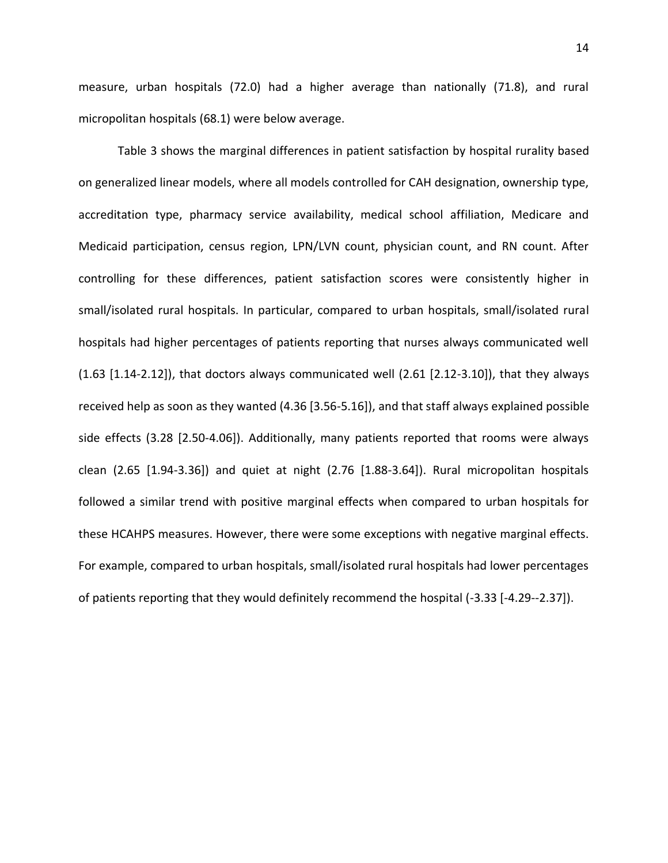measure, urban hospitals (72.0) had a higher average than nationally (71.8), and rural micropolitan hospitals (68.1) were below average.

Table 3 shows the marginal differences in patient satisfaction by hospital rurality based on generalized linear models, where all models controlled for CAH designation, ownership type, accreditation type, pharmacy service availability, medical school affiliation, Medicare and Medicaid participation, census region, LPN/LVN count, physician count, and RN count. After controlling for these differences, patient satisfaction scores were consistently higher in small/isolated rural hospitals. In particular, compared to urban hospitals, small/isolated rural hospitals had higher percentages of patients reporting that nurses always communicated well  $(1.63 [1.14-2.12])$ , that doctors always communicated well  $(2.61 [2.12-3.10])$ , that they always received help as soon as they wanted (4.36 [3.56-5.16]), and that staff always explained possible side effects (3.28 [2.50-4.06]). Additionally, many patients reported that rooms were always clean (2.65 [1.94-3.36]) and quiet at night (2.76 [1.88-3.64]). Rural micropolitan hospitals followed a similar trend with positive marginal effects when compared to urban hospitals for these HCAHPS measures. However, there were some exceptions with negative marginal effects. For example, compared to urban hospitals, small/isolated rural hospitals had lower percentages of patients reporting that they would definitely recommend the hospital (-3.33 [-4.29--2.37]).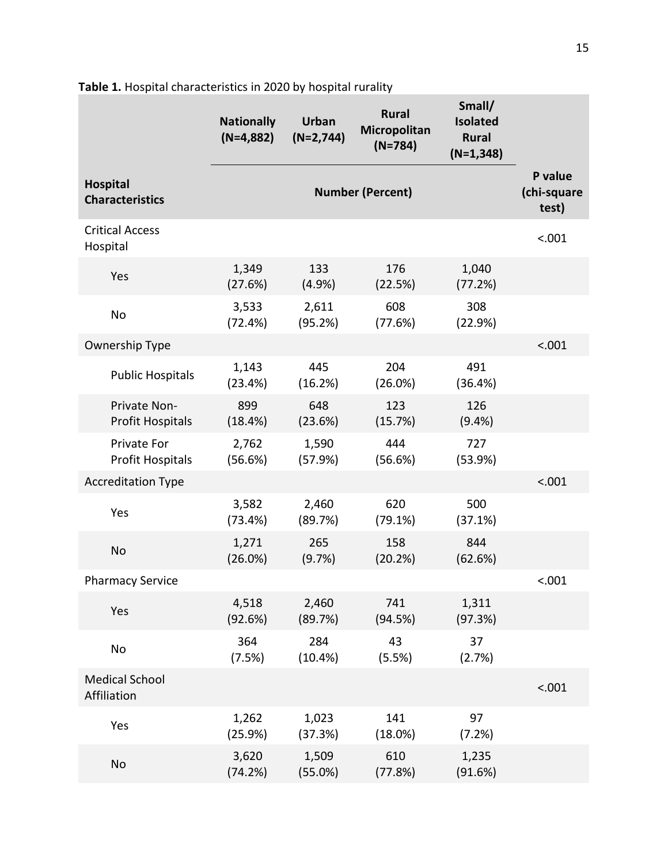|                                           | <b>Nationally</b><br>$(N=4,882)$ | <b>Urban</b><br>$(N=2,744)$ | <b>Rural</b><br>Micropolitan<br>$(N=784)$ | Small/<br><b>Isolated</b><br><b>Rural</b><br>$(N=1,348)$ |                                 |
|-------------------------------------------|----------------------------------|-----------------------------|-------------------------------------------|----------------------------------------------------------|---------------------------------|
| <b>Hospital</b><br><b>Characteristics</b> |                                  |                             | <b>Number (Percent)</b>                   |                                                          | P value<br>(chi-square<br>test) |
| <b>Critical Access</b><br>Hospital        |                                  |                             |                                           |                                                          | < .001                          |
| Yes                                       | 1,349<br>(27.6%)                 | 133<br>(4.9%                | 176<br>(22.5%)                            | 1,040<br>(77.2%)                                         |                                 |
| No                                        | 3,533<br>(72.4%)                 | 2,611<br>(95.2%)            | 608<br>(77.6%)                            | 308<br>(22.9%)                                           |                                 |
| Ownership Type                            |                                  |                             |                                           |                                                          | < .001                          |
| <b>Public Hospitals</b>                   | 1,143<br>(23.4%)                 | 445<br>(16.2%)              | 204<br>(26.0%)                            | 491<br>(36.4%)                                           |                                 |
| Private Non-<br><b>Profit Hospitals</b>   | 899<br>(18.4%)                   | 648<br>(23.6%)              | 123<br>(15.7%)                            | 126<br>$(9.4\%)$                                         |                                 |
| Private For<br><b>Profit Hospitals</b>    | 2,762<br>(56.6%)                 | 1,590<br>(57.9%)            | 444<br>(56.6%)                            | 727<br>(53.9%)                                           |                                 |
| <b>Accreditation Type</b>                 |                                  |                             |                                           |                                                          | < .001                          |
| Yes                                       | 3,582<br>(73.4%)                 | 2,460<br>(89.7%)            | 620<br>(79.1%)                            | 500<br>(37.1%)                                           |                                 |
| <b>No</b>                                 | 1,271<br>(26.0%)                 | 265<br>(9.7%)               | 158<br>(20.2%)                            | 844<br>(62.6%)                                           |                                 |
| <b>Pharmacy Service</b>                   |                                  |                             |                                           |                                                          | < .001                          |
| Yes                                       | 4,518<br>(92.6%)                 | 2,460<br>(89.7%)            | 741<br>(94.5%)                            | 1,311<br>(97.3%)                                         |                                 |
| No                                        | 364<br>(7.5%)                    | 284<br>(10.4%)              | 43<br>(5.5%)                              | 37<br>(2.7%)                                             |                                 |
| <b>Medical School</b><br>Affiliation      |                                  |                             |                                           |                                                          | < .001                          |
| Yes                                       | 1,262<br>(25.9%)                 | 1,023<br>(37.3%)            | 141<br>(18.0%)                            | 97<br>(7.2%)                                             |                                 |
| No                                        | 3,620<br>(74.2%)                 | 1,509<br>(55.0%)            | 610<br>(77.8%)                            | 1,235<br>(91.6%)                                         |                                 |

**Table 1.** Hospital characteristics in 2020 by hospital rurality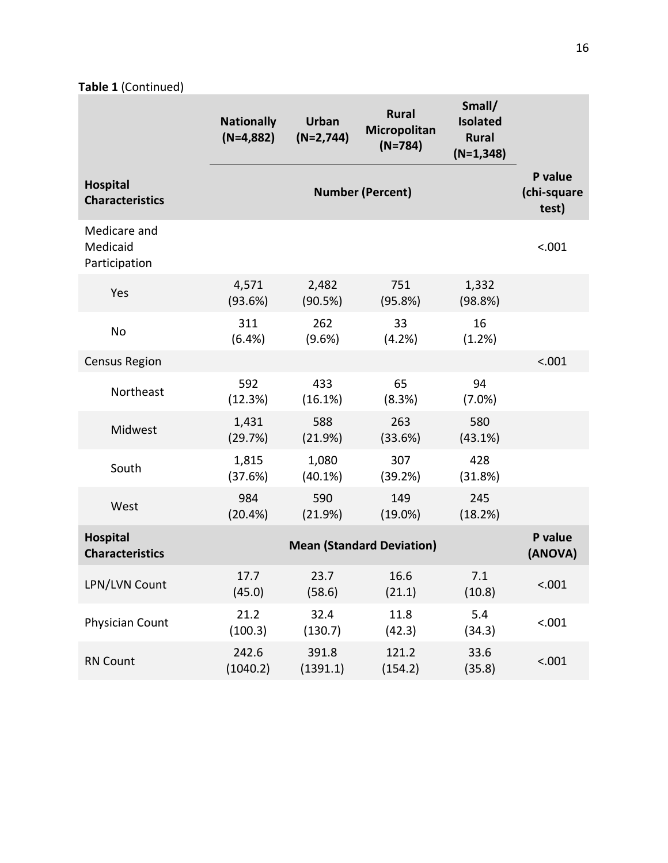**Table 1** (Continued)

|                                           | <b>Nationally</b><br>$(N=4,882)$ | <b>Urban</b><br>$(N=2,744)$      | <b>Rural</b><br>Micropolitan<br>$(N=784)$ | Small/<br><b>Isolated</b><br><b>Rural</b><br>$(N=1,348)$ |                                 |  |
|-------------------------------------------|----------------------------------|----------------------------------|-------------------------------------------|----------------------------------------------------------|---------------------------------|--|
| <b>Hospital</b><br><b>Characteristics</b> |                                  |                                  | <b>Number (Percent)</b>                   |                                                          | P value<br>(chi-square<br>test) |  |
| Medicare and<br>Medicaid<br>Participation |                                  |                                  |                                           |                                                          | < .001                          |  |
| Yes                                       | 4,571<br>(93.6%)                 | 2,482<br>(90.5%)                 | 751<br>(95.8%)                            | 1,332<br>(98.8%)                                         |                                 |  |
| No                                        | 311<br>(6.4%)                    | 262<br>(9.6%)                    | 33<br>(4.2%)                              | 16<br>(1.2%)                                             |                                 |  |
| <b>Census Region</b>                      |                                  |                                  |                                           |                                                          | < .001                          |  |
| Northeast                                 | 592<br>(12.3%)                   | 433<br>(16.1%)                   | 65<br>(8.3%)                              | 94<br>$(7.0\%)$                                          |                                 |  |
| Midwest                                   | 1,431<br>(29.7%)                 | 588<br>(21.9%)                   | 263<br>(33.6%)                            | 580<br>(43.1%)                                           |                                 |  |
| South                                     | 1,815<br>(37.6%)                 | 1,080<br>(40.1%)                 | 307<br>(39.2%)                            | 428<br>(31.8%)                                           |                                 |  |
| West                                      | 984<br>(20.4% )                  | 590<br>(21.9%)                   | 149<br>$(19.0\%)$                         | 245<br>(18.2%)                                           |                                 |  |
| <b>Hospital</b><br><b>Characteristics</b> |                                  | <b>Mean (Standard Deviation)</b> |                                           |                                                          |                                 |  |
| LPN/LVN Count                             | 17.7<br>(45.0)                   | 23.7<br>(58.6)                   | 16.6<br>(21.1)                            | 7.1<br>(10.8)                                            | < .001                          |  |
| <b>Physician Count</b>                    | 21.2<br>(100.3)                  | 32.4<br>(130.7)                  | 11.8<br>(42.3)                            | 5.4<br>(34.3)                                            | < .001                          |  |
| <b>RN Count</b>                           | 242.6<br>(1040.2)                | 391.8<br>(1391.1)                | 121.2<br>(154.2)                          | 33.6<br>(35.8)                                           | < .001                          |  |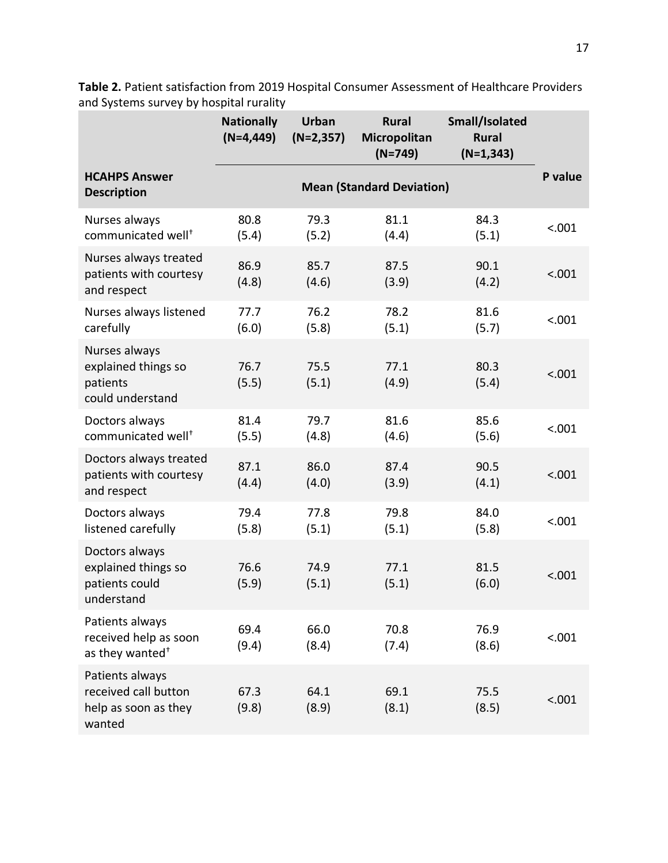|                                                                           | <b>Nationally</b><br>$(N=4, 449)$ | <b>Urban</b><br>$(N=2,357)$ | <b>Rural</b><br>Micropolitan<br>$(N=749)$ | Small/Isolated<br><b>Rural</b><br>$(N=1,343)$ |         |
|---------------------------------------------------------------------------|-----------------------------------|-----------------------------|-------------------------------------------|-----------------------------------------------|---------|
| <b>HCAHPS Answer</b><br><b>Description</b>                                |                                   |                             | <b>Mean (Standard Deviation)</b>          |                                               | P value |
| Nurses always<br>communicated well <sup>+</sup>                           | 80.8<br>(5.4)                     | 79.3<br>(5.2)               | 81.1<br>(4.4)                             | 84.3<br>(5.1)                                 | < .001  |
| Nurses always treated<br>patients with courtesy<br>and respect            | 86.9<br>(4.8)                     | 85.7<br>(4.6)               | 87.5<br>(3.9)                             | 90.1<br>(4.2)                                 | < .001  |
| Nurses always listened<br>carefully                                       | 77.7<br>(6.0)                     | 76.2<br>(5.8)               | 78.2<br>(5.1)                             | 81.6<br>(5.7)                                 | < .001  |
| Nurses always<br>explained things so<br>patients<br>could understand      | 76.7<br>(5.5)                     | 75.5<br>(5.1)               | 77.1<br>(4.9)                             | 80.3<br>(5.4)                                 | < .001  |
| Doctors always<br>communicated well <sup>+</sup>                          | 81.4<br>(5.5)                     | 79.7<br>(4.8)               | 81.6<br>(4.6)                             | 85.6<br>(5.6)                                 | < .001  |
| Doctors always treated<br>patients with courtesy<br>and respect           | 87.1<br>(4.4)                     | 86.0<br>(4.0)               | 87.4<br>(3.9)                             | 90.5<br>(4.1)                                 | < .001  |
| Doctors always<br>listened carefully                                      | 79.4<br>(5.8)                     | 77.8<br>(5.1)               | 79.8<br>(5.1)                             | 84.0<br>(5.8)                                 | < .001  |
| Doctors always<br>explained things so<br>patients could<br>understand     | 76.6<br>(5.9)                     | 74.9<br>(5.1)               | 77.1<br>(5.1)                             | 81.5<br>(6.0)                                 | < .001  |
| Patients always<br>received help as soon<br>as they wanted <sup>+</sup>   | 69.4<br>(9.4)                     | 66.0<br>(8.4)               | 70.8<br>(7.4)                             | 76.9<br>(8.6)                                 | < .001  |
| Patients always<br>received call button<br>help as soon as they<br>wanted | 67.3<br>(9.8)                     | 64.1<br>(8.9)               | 69.1<br>(8.1)                             | 75.5<br>(8.5)                                 | < .001  |

**Table 2.** Patient satisfaction from 2019 Hospital Consumer Assessment of Healthcare Providers and Systems survey by hospital rurality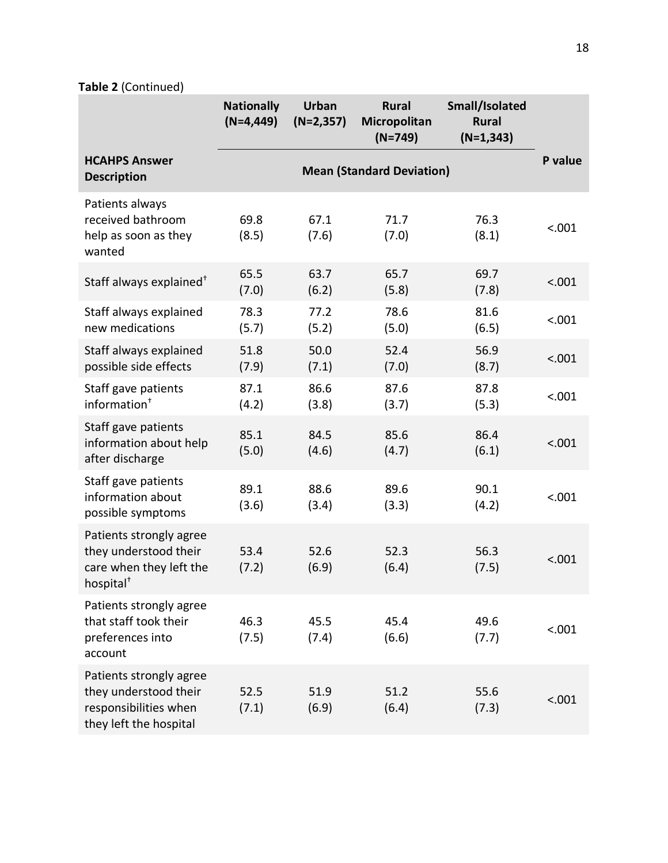**Table 2** (Continued)

|                                                                                                      | <b>Nationally</b><br>$(N=4,449)$ | <b>Urban</b><br>$(N=2,357)$ | <b>Rural</b><br>Micropolitan<br>$(N=749)$ | Small/Isolated<br><b>Rural</b><br>$(N=1,343)$ |         |
|------------------------------------------------------------------------------------------------------|----------------------------------|-----------------------------|-------------------------------------------|-----------------------------------------------|---------|
| <b>HCAHPS Answer</b><br><b>Description</b>                                                           |                                  |                             | <b>Mean (Standard Deviation)</b>          |                                               | P value |
| Patients always<br>received bathroom<br>help as soon as they<br>wanted                               | 69.8<br>(8.5)                    | 67.1<br>(7.6)               | 71.7<br>(7.0)                             | 76.3<br>(8.1)                                 | < .001  |
| Staff always explained <sup>+</sup>                                                                  | 65.5<br>(7.0)                    | 63.7<br>(6.2)               | 65.7<br>(5.8)                             | 69.7<br>(7.8)                                 | < .001  |
| Staff always explained<br>new medications                                                            | 78.3<br>(5.7)                    | 77.2<br>(5.2)               | 78.6<br>(5.0)                             | 81.6<br>(6.5)                                 | < .001  |
| Staff always explained<br>possible side effects                                                      | 51.8<br>(7.9)                    | 50.0<br>(7.1)               | 52.4<br>(7.0)                             | 56.9<br>(8.7)                                 | < .001  |
| Staff gave patients<br>information <sup>+</sup>                                                      | 87.1<br>(4.2)                    | 86.6<br>(3.8)               | 87.6<br>(3.7)                             | 87.8<br>(5.3)                                 | < .001  |
| Staff gave patients<br>information about help<br>after discharge                                     | 85.1<br>(5.0)                    | 84.5<br>(4.6)               | 85.6<br>(4.7)                             | 86.4<br>(6.1)                                 | < .001  |
| Staff gave patients<br>information about<br>possible symptoms                                        | 89.1<br>(3.6)                    | 88.6<br>(3.4)               | 89.6<br>(3.3)                             | 90.1<br>(4.2)                                 | < .001  |
| Patients strongly agree<br>they understood their<br>care when they left the<br>hospital <sup>+</sup> | 53.4<br>(7.2)                    | 52.6<br>(6.9)               | 52.3<br>(6.4)                             | 56.3<br>(7.5)                                 | < .001  |
| Patients strongly agree<br>that staff took their<br>preferences into<br>account                      | 46.3<br>(7.5)                    | 45.5<br>(7.4)               | 45.4<br>(6.6)                             | 49.6<br>(7.7)                                 | < .001  |
| Patients strongly agree<br>they understood their<br>responsibilities when<br>they left the hospital  | 52.5<br>(7.1)                    | 51.9<br>(6.9)               | 51.2<br>(6.4)                             | 55.6<br>(7.3)                                 | < .001  |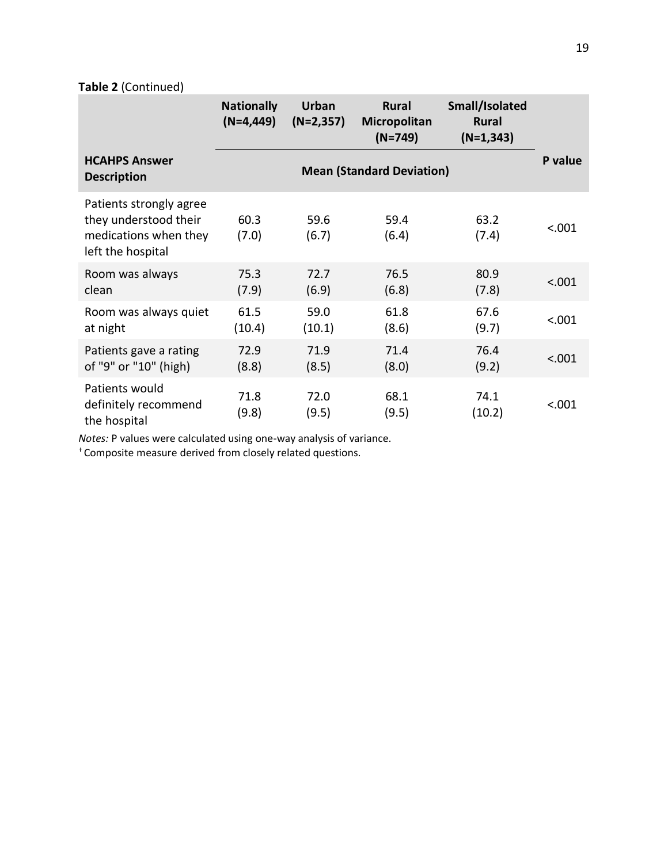## **Table 2** (Continued)

|                                                                                                | <b>Nationally</b><br>$(N=4,449)$ | Urban<br>$(N=2,357)$ | <b>Rural</b><br>Micropolitan<br>$(N=749)$ | Small/Isolated<br><b>Rural</b><br>$(N=1,343)$ |         |
|------------------------------------------------------------------------------------------------|----------------------------------|----------------------|-------------------------------------------|-----------------------------------------------|---------|
| <b>HCAHPS Answer</b><br><b>Description</b>                                                     |                                  |                      | <b>Mean (Standard Deviation)</b>          |                                               | P value |
| Patients strongly agree<br>they understood their<br>medications when they<br>left the hospital | 60.3<br>(7.0)                    | 59.6<br>(6.7)        | 59.4<br>(6.4)                             | 63.2<br>(7.4)                                 | < .001  |
| Room was always<br>clean                                                                       | 75.3<br>(7.9)                    | 72.7<br>(6.9)        | 76.5<br>(6.8)                             | 80.9<br>(7.8)                                 | < .001  |
| Room was always quiet<br>at night                                                              | 61.5<br>(10.4)                   | 59.0<br>(10.1)       | 61.8<br>(8.6)                             | 67.6<br>(9.7)                                 | < .001  |
| Patients gave a rating<br>of "9" or "10" (high)                                                | 72.9<br>(8.8)                    | 71.9<br>(8.5)        | 71.4<br>(8.0)                             | 76.4<br>(9.2)                                 | < .001  |
| Patients would<br>definitely recommend<br>the hospital                                         | 71.8<br>(9.8)                    | 72.0<br>(9.5)        | 68.1<br>(9.5)                             | 74.1<br>(10.2)                                | < .001  |

*Notes:* P values were calculated using one-way analysis of variance.

† Composite measure derived from closely related questions.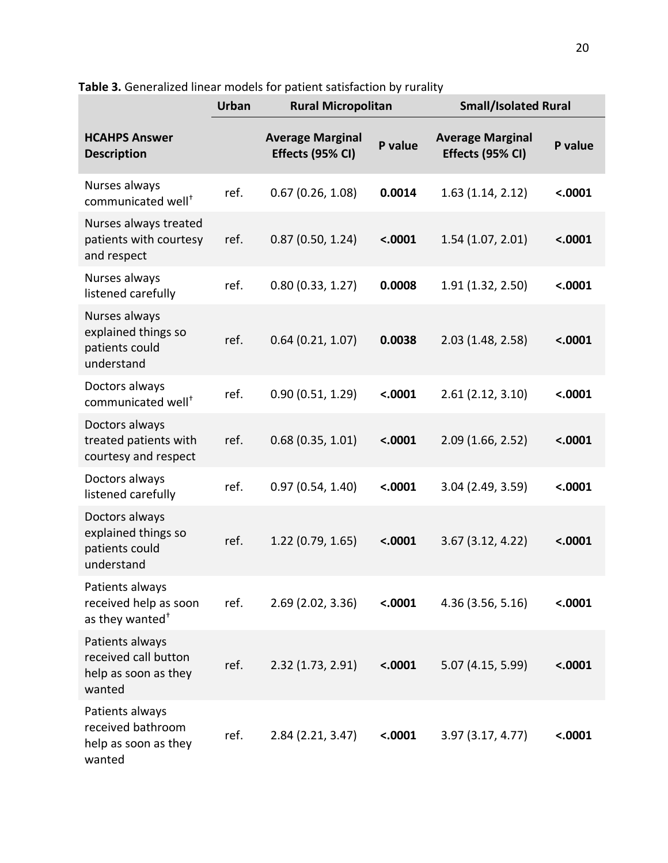**Table 3.** Generalized linear models for patient satisfaction by rurality

|                                                                           | <b>Urban</b> | <b>Rural Micropolitan</b>                   |         | <b>Small/Isolated Rural</b>                 |         |
|---------------------------------------------------------------------------|--------------|---------------------------------------------|---------|---------------------------------------------|---------|
| <b>HCAHPS Answer</b><br><b>Description</b>                                |              | <b>Average Marginal</b><br>Effects (95% CI) | P value | <b>Average Marginal</b><br>Effects (95% CI) | P value |
| Nurses always<br>communicated well <sup>+</sup>                           | ref.         | 0.67(0.26, 1.08)                            | 0.0014  | 1.63(1.14, 2.12)                            | < .0001 |
| Nurses always treated<br>patients with courtesy<br>and respect            | ref.         | 0.87(0.50, 1.24)                            | < .0001 | 1.54(1.07, 2.01)                            | < .0001 |
| Nurses always<br>listened carefully                                       | ref.         | 0.80(0.33, 1.27)                            | 0.0008  | 1.91 (1.32, 2.50)                           | < .0001 |
| Nurses always<br>explained things so<br>patients could<br>understand      | ref.         | 0.64(0.21, 1.07)                            | 0.0038  | 2.03 (1.48, 2.58)                           | < .0001 |
| Doctors always<br>communicated well <sup>+</sup>                          | ref.         | 0.90(0.51, 1.29)                            | < .0001 | 2.61(2.12, 3.10)                            | < .0001 |
| Doctors always<br>treated patients with<br>courtesy and respect           | ref.         | 0.68(0.35, 1.01)                            | < .0001 | 2.09(1.66, 2.52)                            | < .0001 |
| Doctors always<br>listened carefully                                      | ref.         | 0.97(0.54, 1.40)                            | < .0001 | 3.04 (2.49, 3.59)                           | < .0001 |
| Doctors always<br>explained things so<br>patients could<br>understand     | ref.         | 1.22 (0.79, 1.65)                           | < .0001 | 3.67(3.12, 4.22)                            | < .0001 |
| Patients always<br>received help as soon<br>as they wanted <sup>+</sup>   | ref.         | $2.69$ (2.02, 3.36)                         | < .0001 | 4.36 (3.56, 5.16)                           | < .0001 |
| Patients always<br>received call button<br>help as soon as they<br>wanted | ref.         | 2.32(1.73, 2.91)                            | < .0001 | 5.07 (4.15, 5.99)                           | < .0001 |
| Patients always<br>received bathroom<br>help as soon as they<br>wanted    | ref.         | 2.84 (2.21, 3.47)                           | < .0001 | 3.97(3.17, 4.77)                            | < .0001 |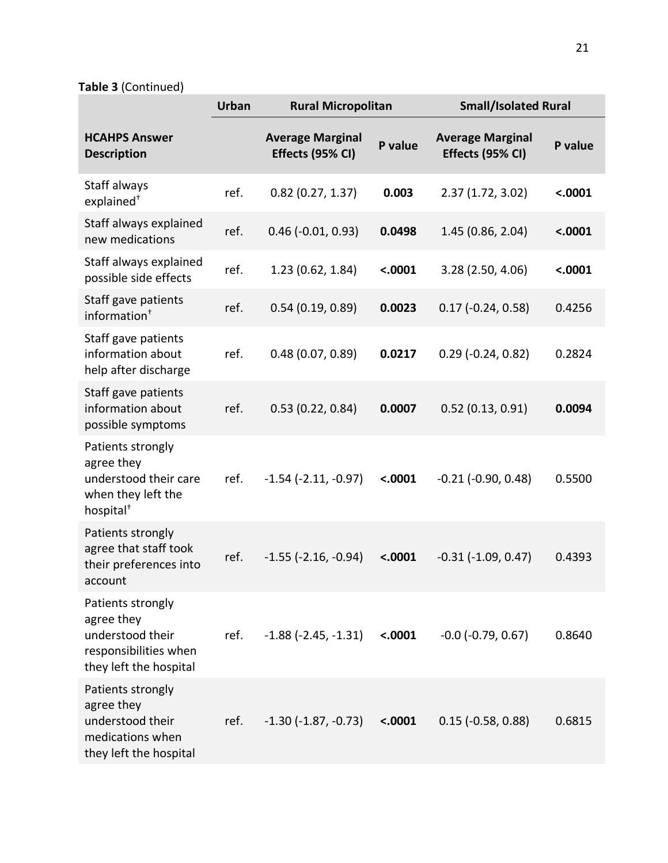**Table 3** (Continued)

|                                                                                                         | <b>Urban</b> | <b>Rural Micropolitan</b>                   |         | <b>Small/Isolated Rural</b>                 |         |
|---------------------------------------------------------------------------------------------------------|--------------|---------------------------------------------|---------|---------------------------------------------|---------|
| <b>HCAHPS Answer</b><br><b>Description</b>                                                              |              | <b>Average Marginal</b><br>Effects (95% CI) | P value | <b>Average Marginal</b><br>Effects (95% CI) | P value |
| Staff always<br>explained <sup>+</sup>                                                                  | ref.         | $0.82$ (0.27, 1.37)                         | 0.003   | 2.37(1.72, 3.02)                            | < .0001 |
| Staff always explained<br>new medications                                                               | ref.         | $0.46$ ( $-0.01$ , $0.93$ )                 | 0.0498  | 1.45 (0.86, 2.04)                           | < .0001 |
| Staff always explained<br>possible side effects                                                         | ref.         | 1.23 (0.62, 1.84)                           | < .0001 | 3.28 (2.50, 4.06)                           | < .0001 |
| Staff gave patients<br>information <sup>+</sup>                                                         | ref.         | 0.54(0.19, 0.89)                            | 0.0023  | $0.17$ ( $-0.24$ , $0.58$ )                 | 0.4256  |
| Staff gave patients<br>information about<br>help after discharge                                        | ref.         | 0.48(0.07, 0.89)                            | 0.0217  | $0.29$ ( $-0.24$ , $0.82$ )                 | 0.2824  |
| Staff gave patients<br>information about<br>possible symptoms                                           | ref.         | 0.53(0.22, 0.84)                            | 0.0007  | 0.52(0.13, 0.91)                            | 0.0094  |
| Patients strongly<br>agree they<br>understood their care<br>when they left the<br>hospital <sup>+</sup> | ref.         | $-1.54$ ( $-2.11, -0.97$ )                  | < .0001 | $-0.21$ $(-0.90, 0.48)$                     | 0.5500  |
| Patients strongly<br>agree that staff took<br>their preferences into<br>account                         | ref.         | $-1.55$ ( $-2.16$ , $-0.94$ )               | < .0001 | $-0.31$ $(-1.09, 0.47)$                     | 0.4393  |
| Patients strongly<br>agree they<br>understood their<br>responsibilities when<br>they left the hospital  | ref.         | $-1.88$ ( $-2.45$ , $-1.31$ )               | < .0001 | $-0.0$ ( $-0.79$ , $0.67$ )                 | 0.8640  |
| Patients strongly<br>agree they<br>understood their<br>medications when<br>they left the hospital       | ref.         | $-1.30$ $(-1.87, -0.73)$                    | < .0001 | $0.15$ ( $-0.58$ , $0.88$ )                 | 0.6815  |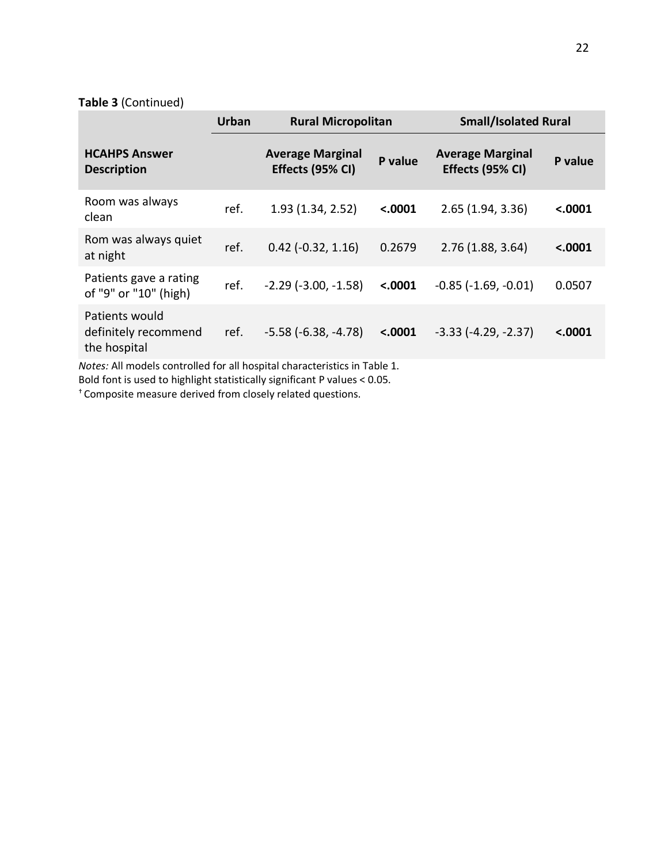## **Table 3** (Continued)

|                                                                                                                                              | <b>Urban</b> | <b>Rural Micropolitan</b>                   |         | <b>Small/Isolated Rural</b>                 |         |
|----------------------------------------------------------------------------------------------------------------------------------------------|--------------|---------------------------------------------|---------|---------------------------------------------|---------|
| <b>HCAHPS Answer</b><br><b>Description</b>                                                                                                   |              | <b>Average Marginal</b><br>Effects (95% CI) | P value | <b>Average Marginal</b><br>Effects (95% CI) | P value |
| Room was always<br>clean                                                                                                                     | ref.         | 1.93 (1.34, 2.52)                           | < .0001 | 2.65(1.94, 3.36)                            | < .0001 |
| Rom was always quiet<br>at night                                                                                                             | ref.         | $0.42$ ( $-0.32$ , 1.16)                    | 0.2679  | 2.76(1.88, 3.64)                            | < .0001 |
| Patients gave a rating<br>of "9" or "10" (high)                                                                                              | ref.         | $-2.29$ ( $-3.00$ , $-1.58$ )               | < .0001 | $-0.85$ ( $-1.69$ , $-0.01$ )               | 0.0507  |
| Patients would<br>definitely recommend<br>the hospital<br>المساحلة والمتحاول والمتحاول والمستحدث والمستحرم المستحدث والماد ومساليل والمستحرق | ref.         | $-5.58$ ( $-6.38$ , $-4.78$ )               | < .0001 | $-3.33$ $(-4.29, -2.37)$                    | < .0001 |

*Notes:* All models controlled for all hospital characteristics in Table 1.

Bold font is used to highlight statistically significant P values < 0.05.

† Composite measure derived from closely related questions.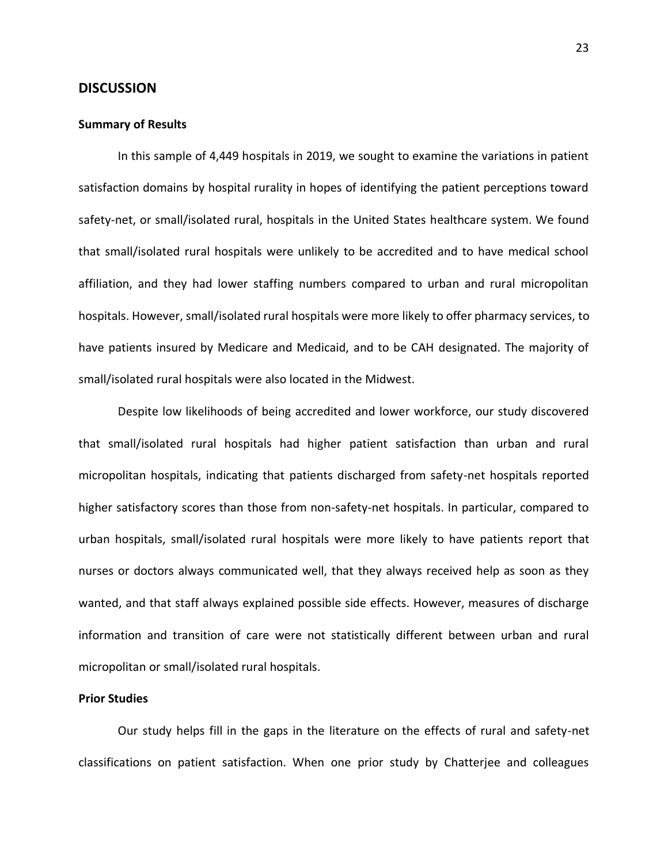## **DISCUSSION**

### **Summary of Results**

In this sample of 4,449 hospitals in 2019, we sought to examine the variations in patient satisfaction domains by hospital rurality in hopes of identifying the patient perceptions toward safety-net, or small/isolated rural, hospitals in the United States healthcare system. We found that small/isolated rural hospitals were unlikely to be accredited and to have medical school affiliation, and they had lower staffing numbers compared to urban and rural micropolitan hospitals. However, small/isolated rural hospitals were more likely to offer pharmacy services, to have patients insured by Medicare and Medicaid, and to be CAH designated. The majority of small/isolated rural hospitals were also located in the Midwest.

Despite low likelihoods of being accredited and lower workforce, our study discovered that small/isolated rural hospitals had higher patient satisfaction than urban and rural micropolitan hospitals, indicating that patients discharged from safety-net hospitals reported higher satisfactory scores than those from non-safety-net hospitals. In particular, compared to urban hospitals, small/isolated rural hospitals were more likely to have patients report that nurses or doctors always communicated well, that they always received help as soon as they wanted, and that staff always explained possible side effects. However, measures of discharge information and transition of care were not statistically different between urban and rural micropolitan or small/isolated rural hospitals.

#### **Prior Studies**

Our study helps fill in the gaps in the literature on the effects of rural and safety-net classifications on patient satisfaction. When one prior study by Chatterjee and colleagues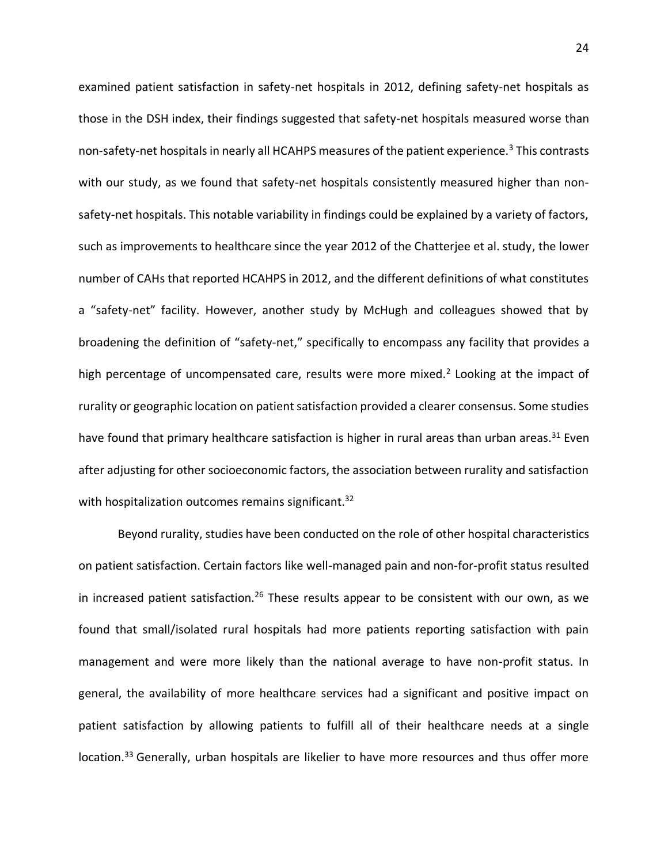examined patient satisfaction in safety-net hospitals in 2012, defining safety-net hospitals as those in the DSH index, their findings suggested that safety-net hospitals measured worse than non-safety-net hospitals in nearly all HCAHPS measures of the patient experience.<sup>3</sup> This contrasts with our study, as we found that safety-net hospitals consistently measured higher than nonsafety-net hospitals. This notable variability in findings could be explained by a variety of factors, such as improvements to healthcare since the year 2012 of the Chatterjee et al. study, the lower number of CAHs that reported HCAHPS in 2012, and the different definitions of what constitutes a "safety-net" facility. However, another study by McHugh and colleagues showed that by broadening the definition of "safety-net," specifically to encompass any facility that provides a high percentage of uncompensated care, results were more mixed.<sup>2</sup> Looking at the impact of rurality or geographic location on patient satisfaction provided a clearer consensus. Some studies have found that primary healthcare satisfaction is higher in rural areas than urban areas.<sup>31</sup> Even after adjusting for other socioeconomic factors, the association between rurality and satisfaction with hospitalization outcomes remains significant.<sup>32</sup>

Beyond rurality, studies have been conducted on the role of other hospital characteristics on patient satisfaction. Certain factors like well-managed pain and non-for-profit status resulted in increased patient satisfaction.<sup>26</sup> These results appear to be consistent with our own, as we found that small/isolated rural hospitals had more patients reporting satisfaction with pain management and were more likely than the national average to have non-profit status. In general, the availability of more healthcare services had a significant and positive impact on patient satisfaction by allowing patients to fulfill all of their healthcare needs at a single location.<sup>33</sup> Generally, urban hospitals are likelier to have more resources and thus offer more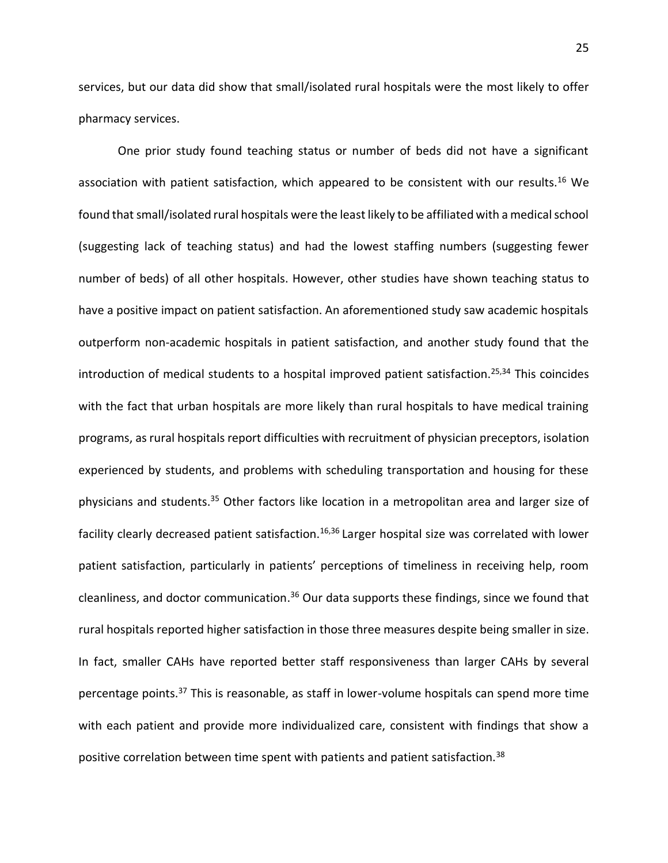services, but our data did show that small/isolated rural hospitals were the most likely to offer pharmacy services.

One prior study found teaching status or number of beds did not have a significant association with patient satisfaction, which appeared to be consistent with our results.<sup>16</sup> We found that small/isolated rural hospitals were the least likely to be affiliated with a medical school (suggesting lack of teaching status) and had the lowest staffing numbers (suggesting fewer number of beds) of all other hospitals. However, other studies have shown teaching status to have a positive impact on patient satisfaction. An aforementioned study saw academic hospitals outperform non-academic hospitals in patient satisfaction, and another study found that the introduction of medical students to a hospital improved patient satisfaction.<sup>25,34</sup> This coincides with the fact that urban hospitals are more likely than rural hospitals to have medical training programs, as rural hospitals report difficulties with recruitment of physician preceptors, isolation experienced by students, and problems with scheduling transportation and housing for these physicians and students.<sup>35</sup> Other factors like location in a metropolitan area and larger size of facility clearly decreased patient satisfaction.<sup>16,36</sup> Larger hospital size was correlated with lower patient satisfaction, particularly in patients' perceptions of timeliness in receiving help, room cleanliness, and doctor communication.<sup>36</sup> Our data supports these findings, since we found that rural hospitals reported higher satisfaction in those three measures despite being smaller in size. In fact, smaller CAHs have reported better staff responsiveness than larger CAHs by several percentage points.<sup>37</sup> This is reasonable, as staff in lower-volume hospitals can spend more time with each patient and provide more individualized care, consistent with findings that show a positive correlation between time spent with patients and patient satisfaction.<sup>38</sup>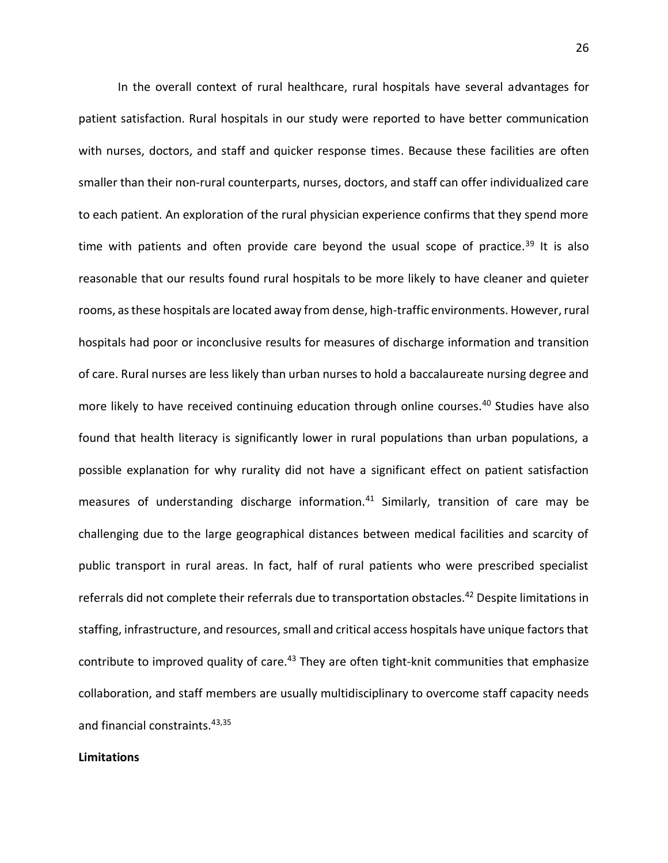In the overall context of rural healthcare, rural hospitals have several advantages for patient satisfaction. Rural hospitals in our study were reported to have better communication with nurses, doctors, and staff and quicker response times. Because these facilities are often smaller than their non-rural counterparts, nurses, doctors, and staff can offer individualized care to each patient. An exploration of the rural physician experience confirms that they spend more time with patients and often provide care beyond the usual scope of practice.<sup>39</sup> It is also reasonable that our results found rural hospitals to be more likely to have cleaner and quieter rooms, as these hospitals are located away from dense, high-traffic environments. However, rural hospitals had poor or inconclusive results for measures of discharge information and transition of care. Rural nurses are less likely than urban nurses to hold a baccalaureate nursing degree and more likely to have received continuing education through online courses.<sup>40</sup> Studies have also found that health literacy is significantly lower in rural populations than urban populations, a possible explanation for why rurality did not have a significant effect on patient satisfaction measures of understanding discharge information. $41$  Similarly, transition of care may be challenging due to the large geographical distances between medical facilities and scarcity of public transport in rural areas. In fact, half of rural patients who were prescribed specialist referrals did not complete their referrals due to transportation obstacles.<sup>42</sup> Despite limitations in staffing, infrastructure, and resources, small and critical access hospitals have unique factors that contribute to improved quality of care.<sup>43</sup> They are often tight-knit communities that emphasize collaboration, and staff members are usually multidisciplinary to overcome staff capacity needs and financial constraints.43,35

## **Limitations**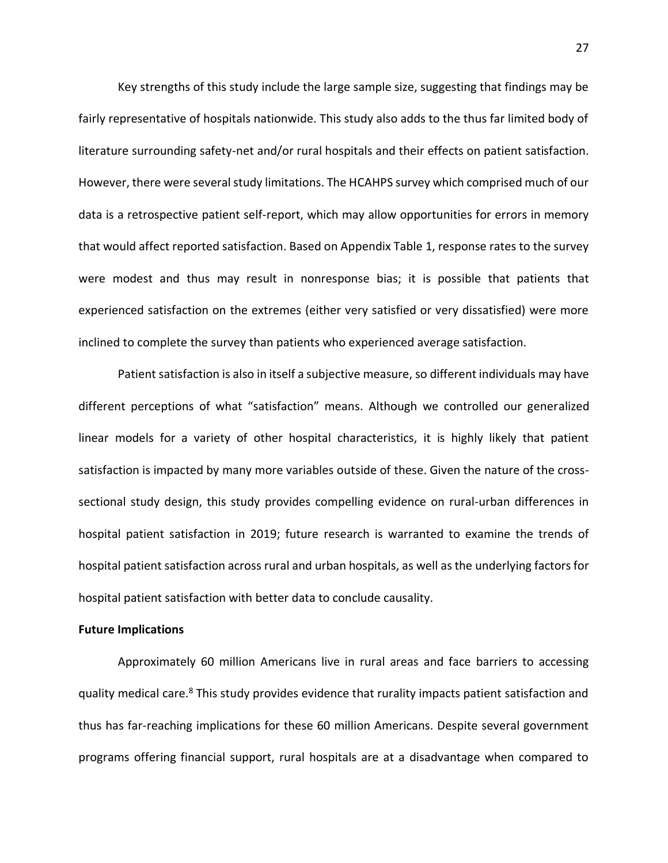Key strengths of this study include the large sample size, suggesting that findings may be fairly representative of hospitals nationwide. This study also adds to the thus far limited body of literature surrounding safety-net and/or rural hospitals and their effects on patient satisfaction. However, there were several study limitations. The HCAHPS survey which comprised much of our data is a retrospective patient self-report, which may allow opportunities for errors in memory that would affect reported satisfaction. Based on Appendix Table 1, response rates to the survey were modest and thus may result in nonresponse bias; it is possible that patients that experienced satisfaction on the extremes (either very satisfied or very dissatisfied) were more inclined to complete the survey than patients who experienced average satisfaction.

Patient satisfaction is also in itself a subjective measure, so different individuals may have different perceptions of what "satisfaction" means. Although we controlled our generalized linear models for a variety of other hospital characteristics, it is highly likely that patient satisfaction is impacted by many more variables outside of these. Given the nature of the crosssectional study design, this study provides compelling evidence on rural-urban differences in hospital patient satisfaction in 2019; future research is warranted to examine the trends of hospital patient satisfaction across rural and urban hospitals, as well as the underlying factors for hospital patient satisfaction with better data to conclude causality.

#### **Future Implications**

Approximately 60 million Americans live in rural areas and face barriers to accessing quality medical care.<sup>8</sup> This study provides evidence that rurality impacts patient satisfaction and thus has far-reaching implications for these 60 million Americans. Despite several government programs offering financial support, rural hospitals are at a disadvantage when compared to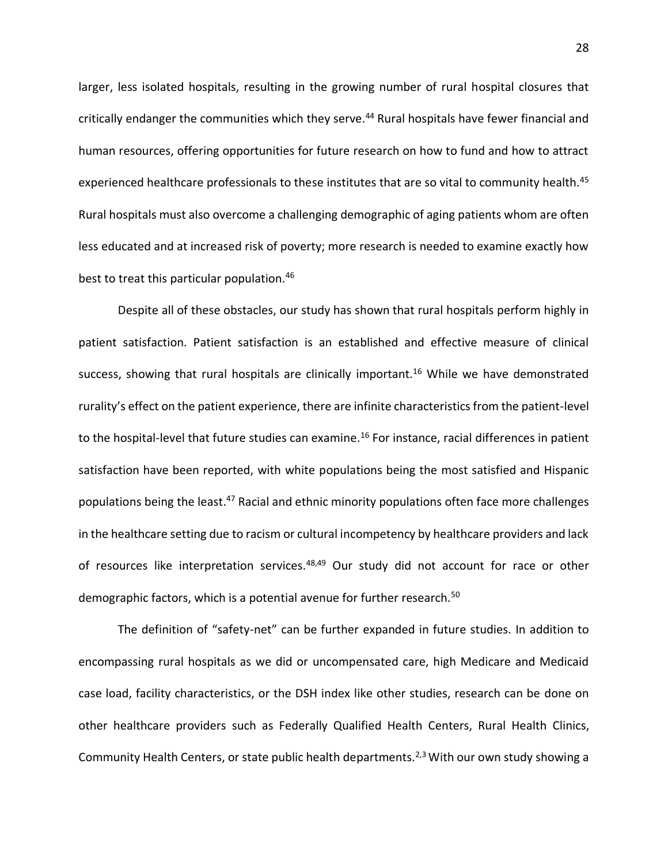larger, less isolated hospitals, resulting in the growing number of rural hospital closures that critically endanger the communities which they serve.<sup>44</sup> Rural hospitals have fewer financial and human resources, offering opportunities for future research on how to fund and how to attract experienced healthcare professionals to these institutes that are so vital to community health.<sup>45</sup> Rural hospitals must also overcome a challenging demographic of aging patients whom are often less educated and at increased risk of poverty; more research is needed to examine exactly how best to treat this particular population.<sup>46</sup>

Despite all of these obstacles, our study has shown that rural hospitals perform highly in patient satisfaction. Patient satisfaction is an established and effective measure of clinical success, showing that rural hospitals are clinically important.<sup>16</sup> While we have demonstrated rurality's effect on the patient experience, there are infinite characteristics from the patient-level to the hospital-level that future studies can examine.<sup>16</sup> For instance, racial differences in patient satisfaction have been reported, with white populations being the most satisfied and Hispanic populations being the least.<sup>47</sup> Racial and ethnic minority populations often face more challenges in the healthcare setting due to racism or cultural incompetency by healthcare providers and lack of resources like interpretation services.<sup>48,49</sup> Our study did not account for race or other demographic factors, which is a potential avenue for further research.<sup>50</sup>

The definition of "safety-net" can be further expanded in future studies. In addition to encompassing rural hospitals as we did or uncompensated care, high Medicare and Medicaid case load, facility characteristics, or the DSH index like other studies, research can be done on other healthcare providers such as Federally Qualified Health Centers, Rural Health Clinics, Community Health Centers, or state public health departments.<sup>2,3</sup> With our own study showing a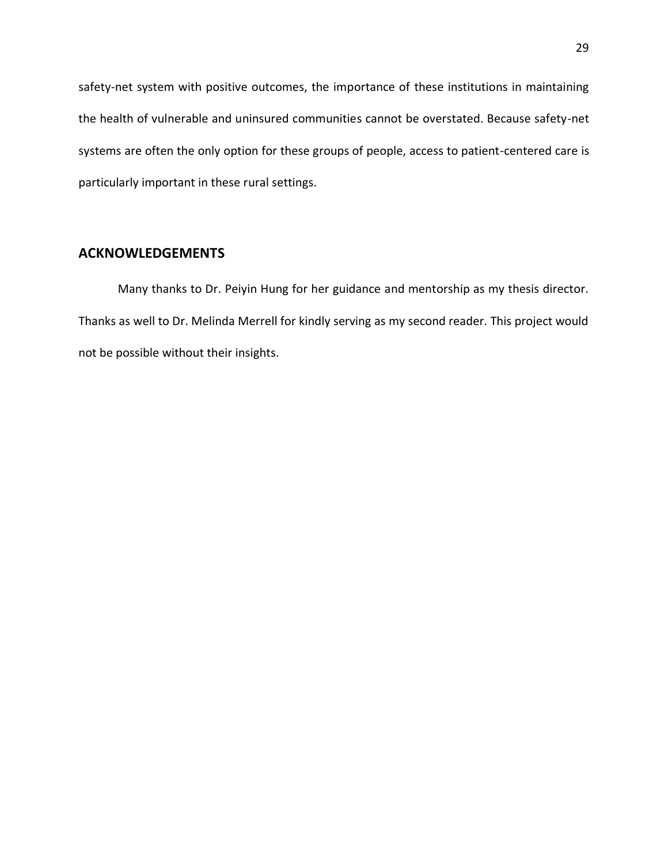safety-net system with positive outcomes, the importance of these institutions in maintaining the health of vulnerable and uninsured communities cannot be overstated. Because safety-net systems are often the only option for these groups of people, access to patient-centered care is particularly important in these rural settings.

## **ACKNOWLEDGEMENTS**

Many thanks to Dr. Peiyin Hung for her guidance and mentorship as my thesis director. Thanks as well to Dr. Melinda Merrell for kindly serving as my second reader. This project would not be possible without their insights.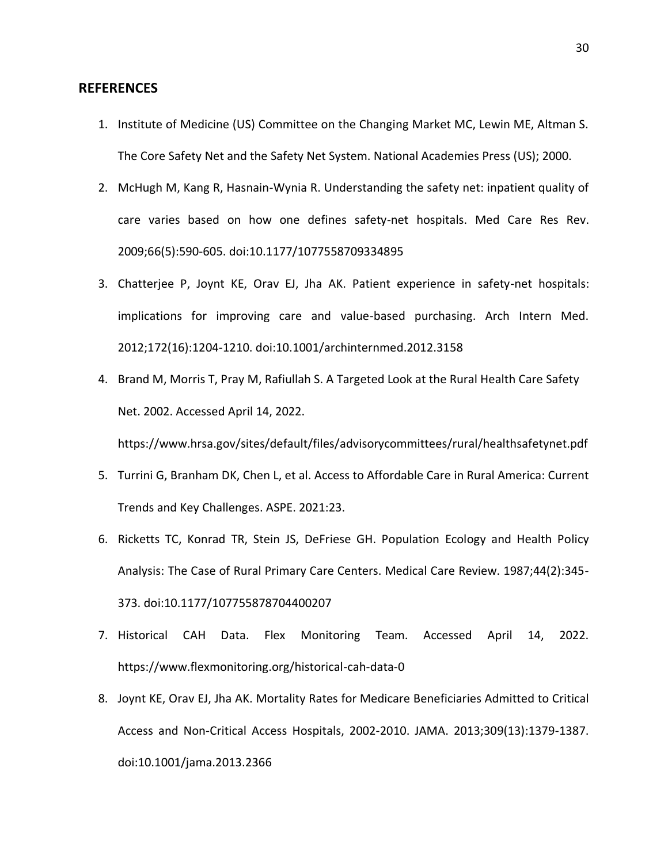## **REFERENCES**

- 1. Institute of Medicine (US) Committee on the Changing Market MC, Lewin ME, Altman S. The Core Safety Net and the Safety Net System. National Academies Press (US); 2000.
- 2. McHugh M, Kang R, Hasnain-Wynia R. Understanding the safety net: inpatient quality of care varies based on how one defines safety-net hospitals. Med Care Res Rev. 2009;66(5):590-605. doi:10.1177/1077558709334895
- 3. Chatterjee P, Joynt KE, Orav EJ, Jha AK. Patient experience in safety-net hospitals: implications for improving care and value-based purchasing. Arch Intern Med. 2012;172(16):1204-1210. doi:10.1001/archinternmed.2012.3158
- 4. Brand M, Morris T, Pray M, Rafiullah S. A Targeted Look at the Rural Health Care Safety Net. 2002. Accessed April 14, 2022.

https://www.hrsa.gov/sites/default/files/advisorycommittees/rural/healthsafetynet.pdf

- 5. Turrini G, Branham DK, Chen L, et al. Access to Affordable Care in Rural America: Current Trends and Key Challenges. ASPE. 2021:23.
- 6. Ricketts TC, Konrad TR, Stein JS, DeFriese GH. Population Ecology and Health Policy Analysis: The Case of Rural Primary Care Centers. Medical Care Review. 1987;44(2):345- 373. doi:10.1177/107755878704400207
- 7. Historical CAH Data. Flex Monitoring Team. Accessed April 14, 2022. https://www.flexmonitoring.org/historical-cah-data-0
- 8. Joynt KE, Orav EJ, Jha AK. Mortality Rates for Medicare Beneficiaries Admitted to Critical Access and Non-Critical Access Hospitals, 2002-2010. JAMA. 2013;309(13):1379-1387. doi:10.1001/jama.2013.2366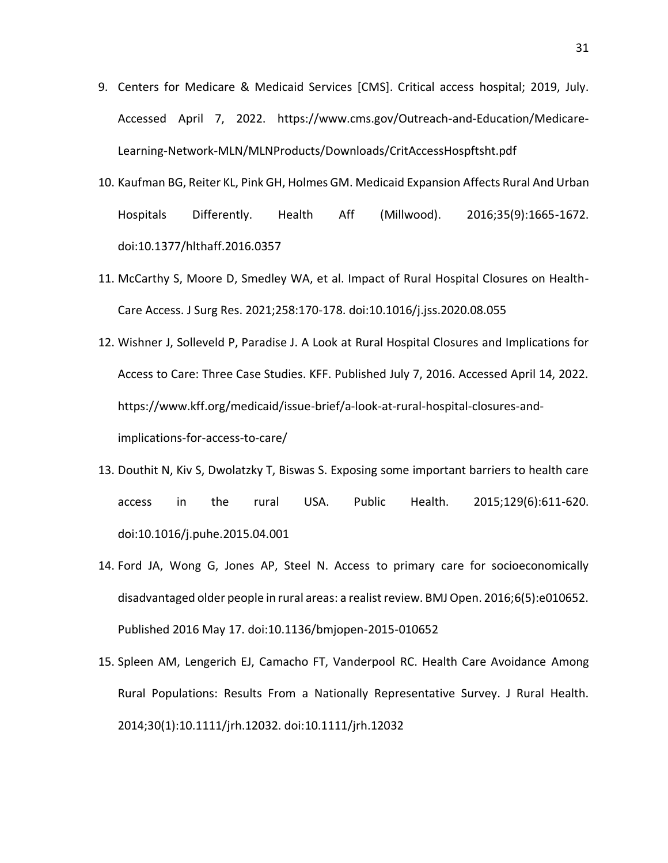- 9. Centers for Medicare & Medicaid Services [CMS]. Critical access hospital; 2019, July. Accessed April 7, 2022. https://www.cms.gov/Outreach-and-Education/Medicare-Learning-Network-MLN/MLNProducts/Downloads/CritAccessHospftsht.pdf
- 10. Kaufman BG, Reiter KL, Pink GH, Holmes GM. Medicaid Expansion Affects Rural And Urban Hospitals Differently. Health Aff (Millwood). 2016;35(9):1665-1672. doi:10.1377/hlthaff.2016.0357
- 11. McCarthy S, Moore D, Smedley WA, et al. Impact of Rural Hospital Closures on Health-Care Access. J Surg Res. 2021;258:170-178. doi:10.1016/j.jss.2020.08.055
- 12. Wishner J, Solleveld P, Paradise J. A Look at Rural Hospital Closures and Implications for Access to Care: Three Case Studies. KFF. Published July 7, 2016. Accessed April 14, 2022. https://www.kff.org/medicaid/issue-brief/a-look-at-rural-hospital-closures-andimplications-for-access-to-care/
- 13. Douthit N, Kiv S, Dwolatzky T, Biswas S. Exposing some important barriers to health care access in the rural USA. Public Health. 2015;129(6):611-620. doi:10.1016/j.puhe.2015.04.001
- 14. Ford JA, Wong G, Jones AP, Steel N. Access to primary care for socioeconomically disadvantaged older people in rural areas: a realist review. BMJ Open. 2016;6(5):e010652. Published 2016 May 17. doi:10.1136/bmjopen-2015-010652
- 15. Spleen AM, Lengerich EJ, Camacho FT, Vanderpool RC. Health Care Avoidance Among Rural Populations: Results From a Nationally Representative Survey. J Rural Health. 2014;30(1):10.1111/jrh.12032. doi:10.1111/jrh.12032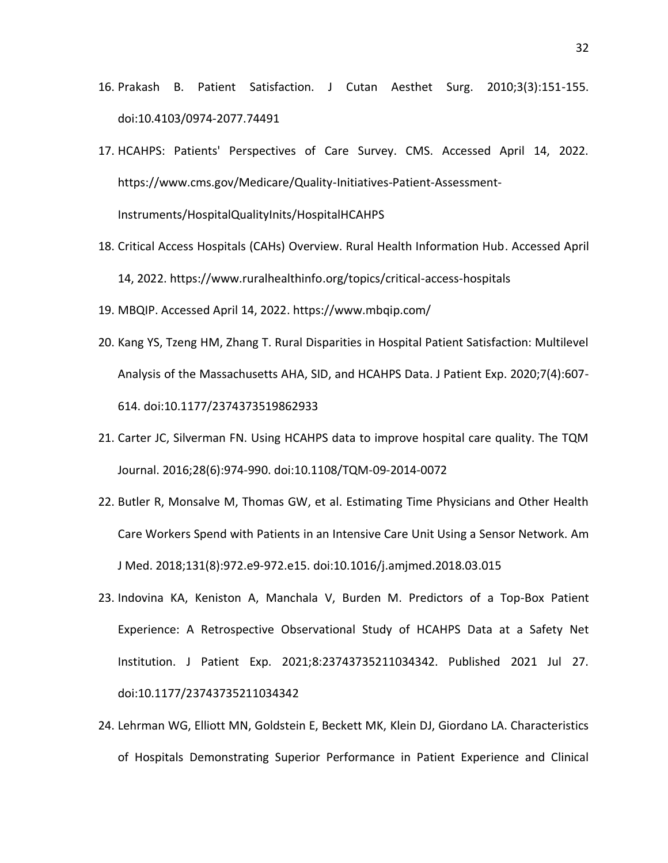- 16. Prakash B. Patient Satisfaction. J Cutan Aesthet Surg. 2010;3(3):151-155. doi:10.4103/0974-2077.74491
- 17. HCAHPS: Patients' Perspectives of Care Survey. CMS. Accessed April 14, 2022. https://www.cms.gov/Medicare/Quality-Initiatives-Patient-Assessment-Instruments/HospitalQualityInits/HospitalHCAHPS
- 18. Critical Access Hospitals (CAHs) Overview. Rural Health Information Hub. Accessed April 14, 2022. https://www.ruralhealthinfo.org/topics/critical-access-hospitals
- 19. MBQIP. Accessed April 14, 2022. https://www.mbqip.com/
- 20. Kang YS, Tzeng HM, Zhang T. Rural Disparities in Hospital Patient Satisfaction: Multilevel Analysis of the Massachusetts AHA, SID, and HCAHPS Data. J Patient Exp. 2020;7(4):607- 614. doi:10.1177/2374373519862933
- 21. Carter JC, Silverman FN. Using HCAHPS data to improve hospital care quality. The TQM Journal. 2016;28(6):974-990. doi:10.1108/TQM-09-2014-0072
- 22. Butler R, Monsalve M, Thomas GW, et al. Estimating Time Physicians and Other Health Care Workers Spend with Patients in an Intensive Care Unit Using a Sensor Network. Am J Med. 2018;131(8):972.e9-972.e15. doi:10.1016/j.amjmed.2018.03.015
- 23. Indovina KA, Keniston A, Manchala V, Burden M. Predictors of a Top-Box Patient Experience: A Retrospective Observational Study of HCAHPS Data at a Safety Net Institution. J Patient Exp. 2021;8:23743735211034342. Published 2021 Jul 27. doi:10.1177/23743735211034342
- 24. Lehrman WG, Elliott MN, Goldstein E, Beckett MK, Klein DJ, Giordano LA. Characteristics of Hospitals Demonstrating Superior Performance in Patient Experience and Clinical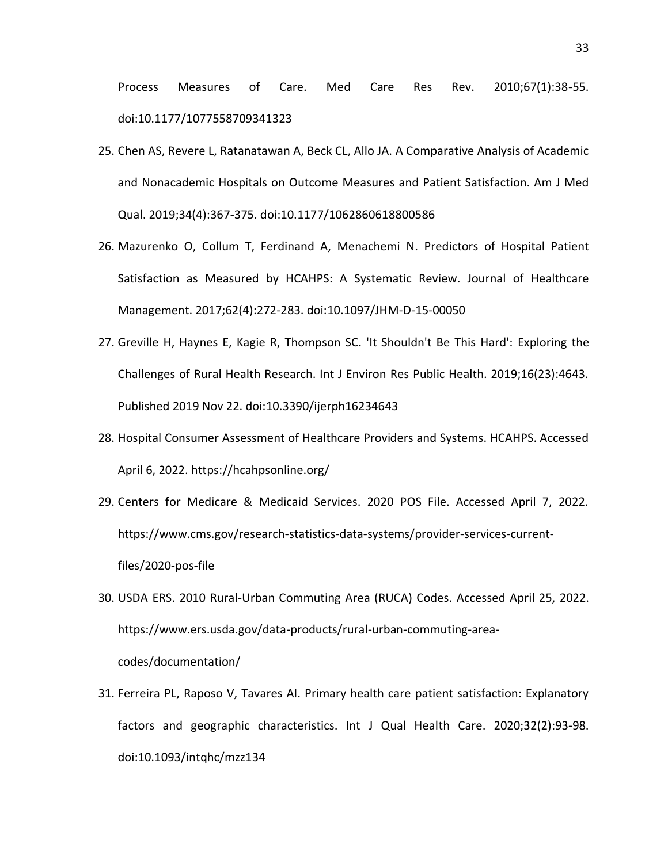Process Measures of Care. Med Care Res Rev. 2010;67(1):38-55. doi:10.1177/1077558709341323

- 25. Chen AS, Revere L, Ratanatawan A, Beck CL, Allo JA. A Comparative Analysis of Academic and Nonacademic Hospitals on Outcome Measures and Patient Satisfaction. Am J Med Qual. 2019;34(4):367-375. doi:10.1177/1062860618800586
- 26. Mazurenko O, Collum T, Ferdinand A, Menachemi N. Predictors of Hospital Patient Satisfaction as Measured by HCAHPS: A Systematic Review. Journal of Healthcare Management. 2017;62(4):272-283. doi:10.1097/JHM-D-15-00050
- 27. Greville H, Haynes E, Kagie R, Thompson SC. 'It Shouldn't Be This Hard': Exploring the Challenges of Rural Health Research. Int J Environ Res Public Health. 2019;16(23):4643. Published 2019 Nov 22. doi:10.3390/ijerph16234643
- 28. Hospital Consumer Assessment of Healthcare Providers and Systems. HCAHPS. Accessed April 6, 2022. https://hcahpsonline.org/
- 29. Centers for Medicare & Medicaid Services. 2020 POS File. Accessed April 7, 2022. https://www.cms.gov/research-statistics-data-systems/provider-services-currentfiles/2020-pos-file
- 30. USDA ERS. 2010 Rural-Urban Commuting Area (RUCA) Codes. Accessed April 25, 2022. https://www.ers.usda.gov/data-products/rural-urban-commuting-areacodes/documentation/
- 31. Ferreira PL, Raposo V, Tavares AI. Primary health care patient satisfaction: Explanatory factors and geographic characteristics. Int J Qual Health Care. 2020;32(2):93-98. doi:10.1093/intqhc/mzz134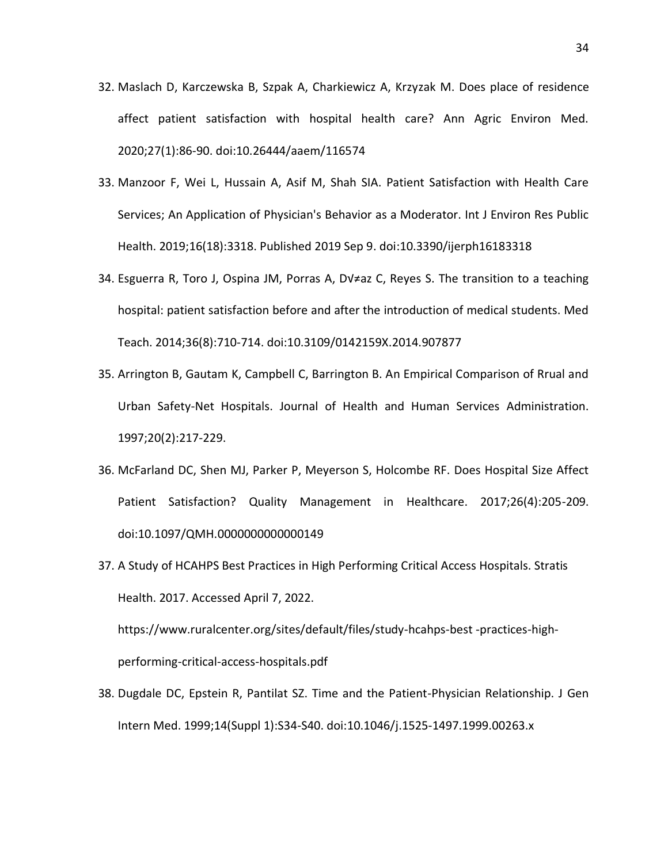- 32. Maslach D, Karczewska B, Szpak A, Charkiewicz A, Krzyzak M. Does place of residence affect patient satisfaction with hospital health care? Ann Agric Environ Med. 2020;27(1):86-90. doi:10.26444/aaem/116574
- 33. Manzoor F, Wei L, Hussain A, Asif M, Shah SIA. Patient Satisfaction with Health Care Services; An Application of Physician's Behavior as a Moderator. Int J Environ Res Public Health. 2019;16(18):3318. Published 2019 Sep 9. doi:10.3390/ijerph16183318
- 34. Esguerra R, Toro J, Ospina JM, Porras A, DV $\neq$ az C, Reyes S. The transition to a teaching hospital: patient satisfaction before and after the introduction of medical students. Med Teach. 2014;36(8):710-714. doi:10.3109/0142159X.2014.907877
- 35. Arrington B, Gautam K, Campbell C, Barrington B. An Empirical Comparison of Rrual and Urban Safety-Net Hospitals. Journal of Health and Human Services Administration. 1997;20(2):217-229.
- 36. McFarland DC, Shen MJ, Parker P, Meyerson S, Holcombe RF. Does Hospital Size Affect Patient Satisfaction? Quality Management in Healthcare. 2017;26(4):205-209. doi:10.1097/QMH.0000000000000149
- 37. A Study of HCAHPS Best Practices in High Performing Critical Access Hospitals. Stratis Health. 2017. Accessed April 7, 2022.

https://www.ruralcenter.org/sites/default/files/study-hcahps-best -practices-highperforming-critical-access-hospitals.pdf

38. Dugdale DC, Epstein R, Pantilat SZ. Time and the Patient-Physician Relationship. J Gen Intern Med. 1999;14(Suppl 1):S34-S40. doi:10.1046/j.1525-1497.1999.00263.x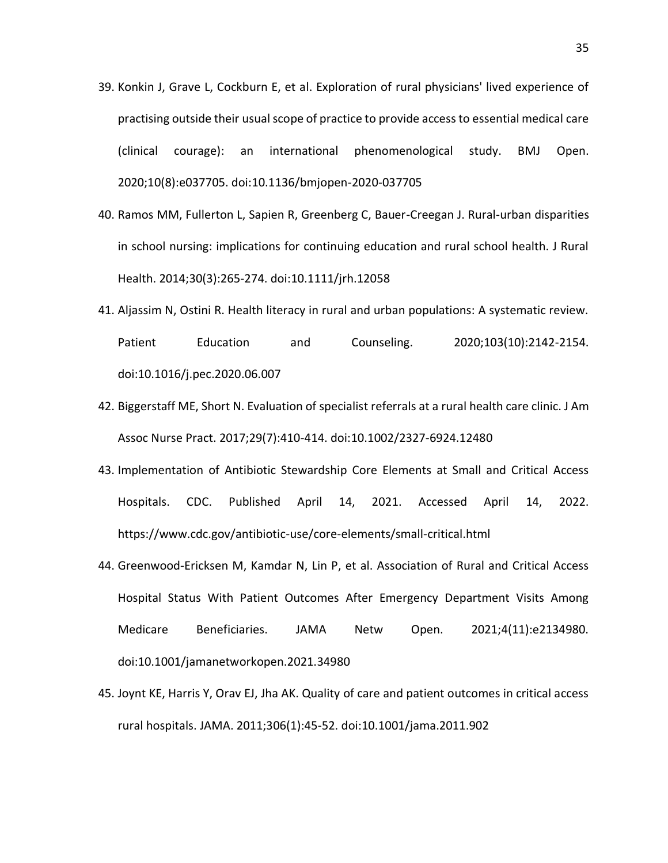- 39. Konkin J, Grave L, Cockburn E, et al. Exploration of rural physicians' lived experience of practising outside their usual scope of practice to provide access to essential medical care (clinical courage): an international phenomenological study. BMJ Open. 2020;10(8):e037705. doi:10.1136/bmjopen-2020-037705
- 40. Ramos MM, Fullerton L, Sapien R, Greenberg C, Bauer-Creegan J. Rural-urban disparities in school nursing: implications for continuing education and rural school health. J Rural Health. 2014;30(3):265-274. doi:10.1111/jrh.12058
- 41. Aljassim N, Ostini R. Health literacy in rural and urban populations: A systematic review. Patient Education and Counseling. 2020;103(10):2142-2154. doi:10.1016/j.pec.2020.06.007
- 42. Biggerstaff ME, Short N. Evaluation of specialist referrals at a rural health care clinic. J Am Assoc Nurse Pract. 2017;29(7):410-414. doi:10.1002/2327-6924.12480
- 43. Implementation of Antibiotic Stewardship Core Elements at Small and Critical Access Hospitals. CDC. Published April 14, 2021. Accessed April 14, 2022. https://www.cdc.gov/antibiotic-use/core-elements/small-critical.html
- 44. Greenwood-Ericksen M, Kamdar N, Lin P, et al. Association of Rural and Critical Access Hospital Status With Patient Outcomes After Emergency Department Visits Among Medicare Beneficiaries. JAMA Netw Open. 2021;4(11):e2134980. doi:10.1001/jamanetworkopen.2021.34980
- 45. Joynt KE, Harris Y, Orav EJ, Jha AK. Quality of care and patient outcomes in critical access rural hospitals. JAMA. 2011;306(1):45-52. doi:10.1001/jama.2011.902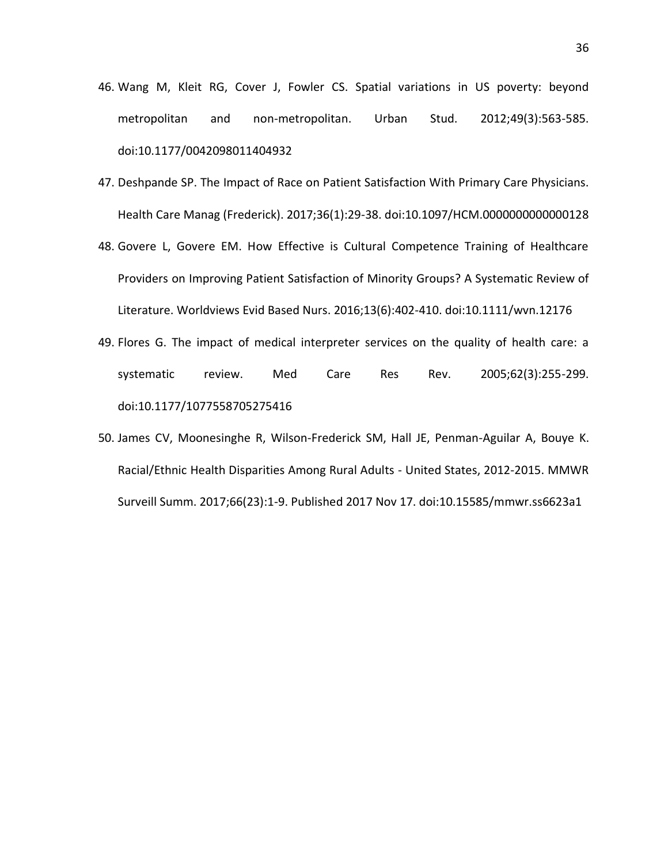- 46. Wang M, Kleit RG, Cover J, Fowler CS. Spatial variations in US poverty: beyond metropolitan and non-metropolitan. Urban Stud. 2012;49(3):563-585. doi:10.1177/0042098011404932
- 47. Deshpande SP. The Impact of Race on Patient Satisfaction With Primary Care Physicians. Health Care Manag (Frederick). 2017;36(1):29-38. doi:10.1097/HCM.0000000000000128
- 48. Govere L, Govere EM. How Effective is Cultural Competence Training of Healthcare Providers on Improving Patient Satisfaction of Minority Groups? A Systematic Review of Literature. Worldviews Evid Based Nurs. 2016;13(6):402-410. doi:10.1111/wvn.12176
- 49. Flores G. The impact of medical interpreter services on the quality of health care: a systematic review. Med Care Res Rev. 2005;62(3):255-299. doi:10.1177/1077558705275416
- 50. James CV, Moonesinghe R, Wilson-Frederick SM, Hall JE, Penman-Aguilar A, Bouye K. Racial/Ethnic Health Disparities Among Rural Adults - United States, 2012-2015. MMWR Surveill Summ. 2017;66(23):1-9. Published 2017 Nov 17. doi:10.15585/mmwr.ss6623a1